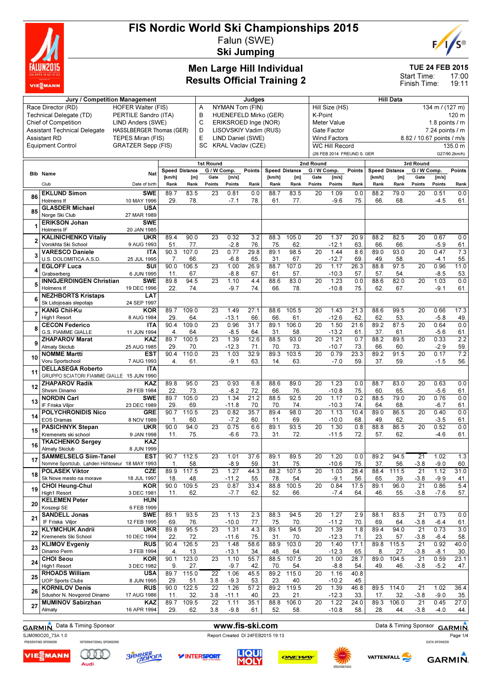

## FIS Nordic World Ski Championships 2015 Falun (SWE)

Ski Jumping



### Men Large Hill Individual Results Official Training 2

TUE 24 FEB 2015

17:00 19:11 Start Time: Finish Time:

|    | Jury / Competition Management                      |                                 |                |              | <b>Hill Data</b><br>Judges |                          |             |                       |                       |                 |                            |               |                       |                          |                           |                     |               |
|----|----------------------------------------------------|---------------------------------|----------------|--------------|----------------------------|--------------------------|-------------|-----------------------|-----------------------|-----------------|----------------------------|---------------|-----------------------|--------------------------|---------------------------|---------------------|---------------|
|    | Race Director (RD)                                 | <b>HOFER Walter (FIS)</b>       |                | Α            | NYMAN Tom (FIN)            |                          |             |                       |                       | Hill Size (HS)  |                            |               |                       |                          | 134 m / (127 m)           |                     |               |
|    | Technical Delegate (TD)                            | PERTILE Sandro (ITA)            |                |              | B                          |                          |             | HUENEFELD Mirko (GER) |                       | K-Point         |                            |               |                       |                          |                           |                     | 120 m         |
|    | <b>Chief of Competition</b>                        | LIND Anders (SWE)               |                |              | C                          | ERIKSROED Inge (NOR)     |             |                       |                       |                 | Meter Value                |               |                       |                          |                           | 1.8 points $/m$     |               |
|    | <b>Assistant Technical Delegate</b>                | <b>HASSLBERGER Thomas (GER)</b> |                |              | D                          | LISOVSKIY Vadim (RUS)    |             |                       |                       |                 | Gate Factor                |               |                       |                          |                           | $7.24$ points $/ m$ |               |
|    | <b>Assistant RD</b>                                | TEPES Miran (FIS)               |                |              | E                          | LIND Daniel (SWE)        |             |                       |                       |                 | <b>Wind Factors</b>        |               |                       |                          | 8.82 / 10.67 points / m/s |                     |               |
|    | <b>Equipment Control</b>                           | <b>GRATZER Sepp (FIS)</b>       |                |              | <b>SC</b>                  | <b>KRAL Vaclav (CZE)</b> |             |                       |                       |                 | <b>WC Hill Record</b>      |               |                       |                          |                           |                     | 135.0 m       |
|    |                                                    |                                 |                |              |                            |                          |             |                       |                       |                 | (26 FEB 2014 FREUND S. GER |               |                       |                          |                           |                     | G27/90.2km/h) |
|    |                                                    |                                 |                |              | 1st Round                  |                          |             |                       |                       | 2nd Round       |                            |               |                       |                          | 3rd Round                 |                     |               |
|    | <b>Bib Name</b>                                    | Nat                             | Speed Distance |              |                            | G / W Comp.              | Points      |                       | <b>Speed Distance</b> | G / W Comp.     |                            | <b>Points</b> | <b>Speed Distance</b> |                          | G / W Comp.               |                     | Points        |
|    | Club                                               | Date of birth                   | [km/h]<br>Rank | [m]<br>Rank  | Gate<br>Points             | [m/s]<br>Points          | Rank        | [km/h]<br>Rank        | [m]<br>Rank           | Gate<br>Points  | [m/s]<br>Points            | Rank          | [km/h]<br>Rank        | [ <sub>m</sub> ]<br>Rank | Gate<br>Points            | [m/s]<br>Points     | Rank          |
|    | <b>EKLUND Simon</b>                                | <b>SWE</b>                      | 89.7           | 83.5         | 23                         | 0.81                     | 0.0         | 88.7                  | 83.5                  | 20              | 1.09                       | 0.0           | 88.2                  | 79.0                     | 20                        | 0.51                | 0.0           |
| 86 | Holmens If                                         | 10 MAY 1996                     | 29.            | 78.          |                            | $-7.1$                   | 78.         | 61.                   | 77.                   |                 | $-9.6$                     | 75.           | 66.                   | 68.                      |                           | $-4.5$              | 61.           |
|    | <b>GLASDER Michael</b>                             | <b>USA</b>                      |                |              |                            |                          |             |                       |                       |                 |                            |               |                       |                          |                           |                     |               |
| 85 | Norge Ski Club                                     | 27 MAR 1989                     |                |              |                            |                          |             |                       |                       |                 |                            |               |                       |                          |                           |                     |               |
|    | <b>ERIKSON Johan</b>                               | <b>SWE</b>                      |                |              |                            |                          |             |                       |                       |                 |                            |               |                       |                          |                           |                     |               |
|    | <b>Holmens IF</b>                                  | 20 JAN 1985                     |                |              |                            |                          |             |                       |                       |                 |                            |               |                       |                          |                           |                     |               |
|    | <b>KALINICHENKO Vitaliy</b><br>Vorokhta Ski School | <b>UKR</b><br>9 AUG 1993        | 89.4<br>51.    | 90.0<br>77.  | 23                         | 0.32<br>$-2.8$           | 3.2<br>76   | 88.3<br>75.           | 105.0<br>62.          | 20              | 1.37<br>$-12.1$            | 20.9<br>63.   | 88.2<br>66            | 82.5<br>66.              | 20                        | 0.67<br>$-5.9$      | 0.0<br>61.    |
|    | <b>VARESCO Daniele</b>                             | <b>ITA</b>                      | 90.3           | 107.0        | 23                         | 0.77                     | 29.8        | 89.1                  | 98.5                  | 20              | 1.44                       | 8.6           | 89.0                  | 93.0                     | 20                        | 0.47                | 7.3           |
|    | U.S. DOLOMITICA A.S.D.                             | 25 JUL 1995                     | 7.             | 66           |                            | $-6.8$                   | 65.         | 31.                   | 67.                   |                 | $-12.7$                    | 69.           | 49                    | 58.                      |                           | $-4.1$              | 55.           |
|    | <b>EGLOFF Luca</b>                                 | SUI                             | 90.0           | 106.5        | 23                         | 1.00                     | 26.9        | 88.7                  | 107.0                 | 20              | 1.17                       | 26.3          | 88.8                  | 97.5                     | 20                        | 0.96                | 11.0          |
|    | Grabserberg                                        | 6 JUN 1995                      | 11.            | 67.          |                            | $-8.8$                   | 67          | 61.                   | 57.                   |                 | $-10.3$                    | 57.           | 57.                   | 54.                      |                           | $-8.5$              | 53.           |
|    | <b>INNGJERDINGEN Christian</b>                     | <b>SWE</b>                      | 89.8           | 94.5         | 23                         | 1.10                     | 4.4         | 88.6                  | 83.0                  | 20              | 1.23                       | 0.0           | 88.6                  | 82.0                     | 20                        | 1.03                | 0.0           |
|    | Holmens If<br><b>NEZHBORTS Kristaps</b>            | 19 DEC 1996<br>LAT              | 22.            | 74.          |                            | $-9.7$                   | 74.         | 66.                   | 78.                   |                 | $-10.8$                    | 75.           | 62.                   | 67.                      |                           | $-9.1$              | 61.           |
|    | Sk Lidojosais slepotajs                            | 24 SEP 1997                     |                |              |                            |                          |             |                       |                       |                 |                            |               |                       |                          |                           |                     |               |
|    | <b>KANG Chil-Ku</b>                                | KOR                             | 89.7           | 109.0        | 23                         | 1.49                     | 27.1        | 88.6                  | 105.5                 | 20              | 1.43                       | 21.3          | 88.6                  | 99.5                     | 20                        | 0.66                | 17.3          |
|    | <b>High1 Resort</b>                                | 8 AUG 1984                      | 29.            | 64.          |                            | $-13.1$                  | 66          | 66.                   | 61.                   |                 | $-12.6$                    | 62.           | 62.                   | 53.                      |                           | $-5.8$              | 49.           |
|    | <b>CECON Federico</b>                              | <b>ITA</b>                      | 90.4           | 109.0        | 23                         | 0.96                     | 31.7        | 89.1                  | 106.0                 | 20              | 1.50                       | 21.6          | 89.2                  | 87.5                     | 20                        | 0.64                | 0.0           |
|    | <b>G.S. FIAMME GIALLE</b>                          | 11 JUN 1994                     | 4.             | 64.          |                            | $-8.5$                   | 64          | 31                    | 58.                   |                 | $-13.2$                    | 61.           | 37.                   | 61.                      |                           | $-5.6$              | 61.           |
|    | <b>ZHAPAROV Marat</b><br><b>Almaty Skiclub</b>     | KAZ<br>25 AUG 1985              | 89.7<br>29     | 100.5<br>70  | 23                         | 1.39<br>$-12.3$          | 12.6<br>71  | 88.5<br>70.           | 93.0<br>73.           | $\overline{20}$ | 1.21<br>$-10.7$            | 0.7<br>73.    | 88.2<br>66.           | 89.5<br>60.              | $\overline{20}$           | 0.33<br>$-2.9$      | 2.2<br>59.    |
|    | <b>NOMME Martti</b>                                | <b>EST</b>                      | 90.4           | 110.0        | 23                         | 1.03                     | 32.9        | 89.3                  | 103.5                 | 20              | 0.79                       | 23.3          | 89.2                  | 91.5                     | 20                        | 0.17                | 7.2           |
| 10 | Voru Sportschool                                   | 7 AUG 1993                      | 4.             | 61.          |                            | $-9.1$                   | 63.         | 14.                   | 63.                   |                 | $-7.0$                     | 59.           | 37.                   | 59.                      |                           | $-1.5$              | 56.           |
| 11 | <b>DELLASEGA Roberto</b>                           | ITA                             |                |              |                            |                          |             |                       |                       |                 |                            |               |                       |                          |                           |                     |               |
|    | GRUPPO SCIATORI FIAMME GIALLE 15 JUN 1990          |                                 |                |              |                            |                          |             |                       |                       |                 |                            |               |                       |                          |                           |                     |               |
| 12 | <b>ZHAPAROV Radik</b>                              | KAZ                             | 89.8<br>22.    | 95.0         | 23                         | 0.93<br>$-8.2$           | 6.8<br>72.  | 88.6<br>66.           | 89.0<br>76.           | 20              | 1.23<br>$-10.8$            | 0.0<br>75.    | 88.7<br>60.           | 83.0<br>65.              | 20                        | 0.63<br>$-5.6$      | 0.0           |
|    | Shysm Dinamo<br><b>NORDIN Carl</b>                 | 29 FEB 1984<br>SWE              | 89.7           | 73.<br>105.0 | 23                         | 1.34                     | 21.2        | 88.5                  | 92.5                  | 20              | 1.17                       | 0.2           | 88.5                  | 79.0                     | 20                        | 0.76                | 61.<br>0.0    |
| 13 | IF Friska Viljor                                   | 23 DEC 1989                     | 29.            | 69.          |                            | $-11.8$                  | 70.         | 70.                   | 74.                   |                 | $-10.3$                    | 74.           | 64                    | 68.                      |                           | $-6.7$              | 61.           |
| 14 | <b>POLYCHRONIDIS Nico</b>                          | <b>GRE</b>                      | 90.7           | 110.5        | 23                         | 0.82                     | 35.7        | 89.4                  | 98.0                  | 20              | 1.13                       | 10.4          | 89.0                  | 86.5                     | 20                        | 0.40                | 0.0           |
|    | <b>EOS Dramas</b>                                  | 8 NOV 1989                      | $\mathbf{1}$   | 60.          |                            | $-7.2$                   | 60.         | 11.                   | 69.                   |                 | $-10.0$                    | 68.           | 49                    | 62.                      |                           | $-3.5$              | 61.           |
| 15 | <b>PASICHNYK Stepan</b>                            | UKR                             | 90.0           | 94.0         | 23                         | 0.75                     | 6.6         | 89.1                  | 93.5                  | 20              | 1.30                       | 0.8           | 88.8                  | 86.5                     | 20                        | 0.52                | 0.0           |
|    | Kremenets ski school<br><b>TKACHENKO Sergey</b>    | 9 JAN 1998<br>KAZ               | 11.            | 75.          |                            | $-6.6$                   | 73.         | 31.                   | 72.                   |                 | $-11.5$                    | 72.           | 57.                   | 62.                      |                           | $-4.6$              | 61.           |
| 16 | <b>Almaty Skiclub</b>                              | 8 JUN 1999                      |                |              |                            |                          |             |                       |                       |                 |                            |               |                       |                          |                           |                     |               |
|    | <b>SAMMELSELG Siim-Tanel</b>                       | <b>EST</b>                      | 90.7           | 112.5        | 23                         | 1.01                     | 37.6        | 89.1                  | 89.5                  | 20              | 1.20                       | 0.0           | 89.2                  | 94.5                     | 21                        | 1.02                | 1.3           |
|    | Nomme Sportclub, Lahden Hiihtoseur 18 MAY 1993     |                                 | 1.             | 58.          |                            | $-8.9$                   | 59.         | 31.                   | 75.                   |                 | $-10.6$                    | 75.           | 37.                   | 56.                      | $-3.8$                    | $-9.0$              | 60.           |
| 18 | <b>POLASEK Viktor</b>                              | <b>CZE</b>                      | 89.9           | 117.5        | 23                         | 1.27                     | 44.3        | 88.2                  | 107.5                 | 20              | 1.03                       | 28.4          | 88.4                  | 111.5                    | 21                        | 1.12                | 31.0          |
|    | Sk Nove mesto na morave<br><b>CHOI Heung-Chul</b>  | 18 JUL 1997<br><b>KOR</b>       | 18.<br>90.0    | 48.<br>109.5 | $\overline{23}$            | $-11.2$<br>0.87          | 55.<br>33.4 | 78.<br>88.8           | 54.<br>100.5          | 20              | $-9.1$<br>0.84             | 56.<br>17.5   | 65.<br>89.1           | 39.<br>96.0              | $-3.8$<br>21              | $-9.9$<br>0.86      | 41.<br>5.4    |
| 19 | High1 Resort                                       | 3 DEC 1981                      | 11.            | 62.          |                            | $-7.7$                   | 62.         | 52.                   | 66.                   |                 | $-7.4$                     | 64.           | 46.                   | 55.                      | $-3.8$                    | $-7.6$              | 57.           |
|    | <b>KELEMEN Peter</b>                               | <b>HUN</b>                      |                |              |                            |                          |             |                       |                       |                 |                            |               |                       |                          |                           |                     |               |
| 20 | Koszegi SE                                         | 6 FEB 1999                      |                |              |                            |                          |             |                       |                       |                 |                            |               |                       |                          |                           |                     |               |
| 21 | <b>SANDELL Jonas</b>                               | <b>SWE</b>                      | 89.1           | 93.5         | 23                         | 1.13                     | 2.3         | 88.3                  | 94.5                  | 20              | 1.27                       | 2.9           | 88.1                  | 83.5                     | 21                        | 0.73                | 0.0           |
|    | IF Friska Viljor                                   | 12 FEB 1995                     | 69.            | 76.          |                            | $-10.0$                  | 77.         | 75.                   | 70.                   |                 | $-11.2$                    | 70.           | 69.                   | 64.                      | $-3.8$                    | $-6.4$              | 61.           |
| 22 | <b>KLYMCHUK Andrii</b><br>Kremenets Ski School     | <b>UKR</b><br>10 DEC 1994       | 89.8<br>22.    | 95.5<br>72.  | 23                         | 1.31<br>$-11.6$          | 4.3<br>75.  | 89.1<br>31.           | 94.5<br>70.           | 20              | 1.39<br>$-12.3$            | 1.8<br>71.    | 89.4<br>23.           | 94.0<br>57.              | $\overline{21}$<br>$-3.8$ | 0.73<br>$-6.4$      | 3.0<br>58.    |
|    | <b>KLIMOV Evgeniy</b>                              | <b>RUS</b>                      | 90.4           | 126.5        | 23                         | 1.48                     | 58.6        | 88.9                  | 103.0                 | 20              | 1.40                       | 17.1          | 89.8                  | 115.5                    | 21                        | 0.92                | 40.0          |
| 23 | Dinamo Perm                                        | 3 FEB 1994                      | 4.             | 13.          |                            | $-13.1$                  | 34.         | 48.                   | 64.                   |                 | $-12.3$                    | 65.           | 8.                    | 27.                      | $-3.8$                    | $-8.1$              | 30.           |
| 24 | <b>CHOI Seou</b>                                   | <b>KOR</b>                      | 90.1           | 123.0        | 23                         | 1.10                     | 55.7        | 88.5                  | 107.5                 | 20              | 1.00                       | 28.7          | 89.0                  | 104.5                    | 21                        | 0.59                | 23.1          |
|    | High1 Resort                                       | 3 DEC 1982                      | 9.             | 27.          |                            | $-9.7$                   | 42.         | 70.                   | 54.                   |                 | $-8.8$                     | 54.           | 49.                   | 46.                      | $-3.8$                    | $-5.2$              | 47.           |
| 25 | <b>RHOADS William</b><br><b>UOP Sports Clubs</b>   | <b>USA</b><br>8 JUN 1995        | 89.7<br>29.    | 115.0<br>51. | $\overline{22}$<br>3.8     | 1.06<br>$-9.3$           | 45.5<br>53. | 89.2<br>23.           | 115.0<br>40.          | 20              | 1.16<br>$-10.2$            | 40.8<br>45.   |                       |                          |                           |                     |               |
|    | <b>KORNILOV Denis</b>                              | <b>RUS</b>                      | 90.0           | 122.5        | 22                         | 1.26                     | 57.2        | 89.2                  | 119.5                 | 20              | 1.39                       | 46.8          | 89.5                  | 114.0                    | 21                        | 1.02                | 36.4          |
| 26 | Sdushor N. Novgorod Dinamo                         | 17 AUG 1986                     | 11.            | 32.          | 3.8                        | $-11.1$                  | 40.         | 23.                   | 21.                   |                 | $-12.3$                    | 33.           | 17.                   | 32.                      | $-3.8$                    | $-9.0$              | 35.           |
| 27 | <b>MUMINOV Sabirzhan</b>                           | KAZ                             | 89.7           | 109.5        | 22                         | 1.11                     | 35.1        | 88.8                  | 106.0                 | 20              | 1.22                       | 24.0          | 89.3                  | 106.0                    | 21                        | 0.45                | 27.0          |
|    | Almaty                                             | 16 APR 1994                     | 29.            | 62.          | 3.8                        | $-9.8$                   | 61.         | 52.                   | 58.                   |                 | $-10.8$                    | 58.           | 28.                   | 44.                      | $-3.8$                    | $-4.0$              | 44.           |

GARMIN. Data & Timing Sponsor **www.fis-ski.com** Data & Timing Sponsor GARMIN. Page 1/4

SJM090O20\_73A 1.0<br>
PRESENTING SPONSOR METERNATIONAL SPONSORS<br>
PRESENTING SPONSOR VIESMANN



Audi



**Y INTERSPORT** 









**VATTENFALL**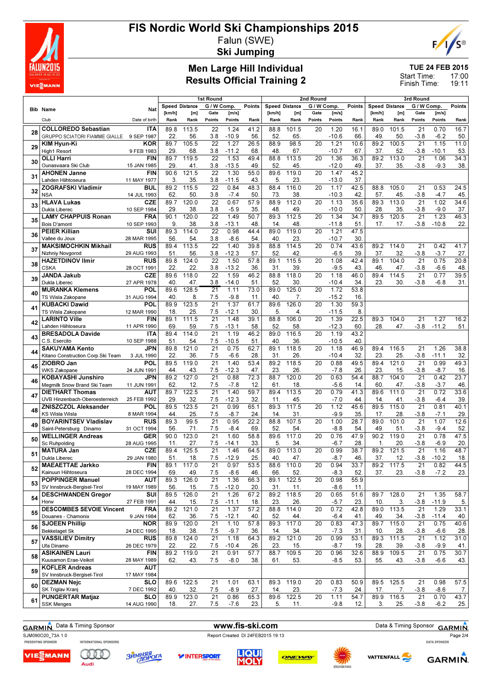

# FIS Nordic World Ski Championships 2015 Falun (SWE)



Ski Jumping

### Men Large Hill Individual Results Official Training 2

TUE 24 FEB 2015

17:00 19:11 Start Time: Finish Time:

|    |                                                       |                           |             | 1st Round      |                        | 2nd Round                    |             |                       |              |             | 3rd Round       |             |             |                    |                           |                 |             |
|----|-------------------------------------------------------|---------------------------|-------------|----------------|------------------------|------------------------------|-------------|-----------------------|--------------|-------------|-----------------|-------------|-------------|--------------------|---------------------------|-----------------|-------------|
|    |                                                       |                           |             | Speed Distance | G / W Comp.            |                              | Points      | <b>Speed Distance</b> |              | G / W Comp. |                 | Points      |             | Speed Distance     | G / W Comp.               |                 | Points      |
|    | <b>Bib Name</b>                                       | Nat                       | [km/h]      | [m]            | Gate                   | [m/s]                        |             | [km/h]                | [m]          | Gate        | [m/s]           |             | [km/h]      | [m]                | Gate                      | [m/s]           |             |
|    | Club                                                  | Date of birth             | Rank        | Rank           | Points                 | Points                       | Rank        | Rank                  | Rank         | Points      | Points          | Rank        | Rank        | Rank               | Points                    | Points          | Rank        |
| 28 | <b>COLLOREDO Sebastian</b>                            | <b>ITA</b>                | 89.8        | 113.5          | 22                     | 1.24                         | 41.2        | 88.8                  | 101.5        | 20          | 1.20            | 16.1        | 89.0        | 101.5              | 21                        | 0.70            | 16.7        |
|    | GRUPPO SCIATORI FIAMME GIALLE                         | 9 SEP 1987                | 22.         | 56.            | 3.8                    | $-10.9$                      | 56.         | 52.                   | 65.          |             | $-10.6$         | 66.         | 49.         | 50.                | $-3.8$                    | $-6.2$          | 50.         |
| 29 | KIM Hyun-Ki                                           | <b>KOR</b>                | 89.7        | 105.5          | $\overline{22}$        | 1.27                         | 26.5        | 88.9                  | 98.5         | 20          | 1.21            | 10.6        | 89.2        | 100.5              | $\overline{21}$           | 1.15            | 11.0        |
|    | <b>High1 Resort</b><br><b>OLLI Harri</b>              | 9 FEB 1983<br><b>FIN</b>  | 29.<br>89.7 | 68<br>119.5    | 3.8<br>22              | $-11.2$<br>1.53              | 68<br>49.4  | 48.<br>88.8           | 67.<br>113.5 | 20          | $-10.7$<br>1.36 | 67<br>36.3  | 37.<br>89.2 | 52.<br>113.0       | $-3.8$<br>21              | $-10.1$<br>1.06 | 53<br>34.3  |
| 30 | Ounasvaara Ski Club                                   | 15 JAN 1985               | 29.         | 41.            | 3.8                    | $-13.5$                      | 49.         | 52.                   | 45.          |             | $-12.0$         | 49.         | 37.         | 35.                | $-3.8$                    | $-9.3$          | 38.         |
|    | <b>AHONEN Janne</b>                                   | FIN                       | 90.6        | 121.5          | 22                     | 1.30                         | 55.0        | 89.6                  | 119.0        | 20          | 1.47            | 45.2        |             |                    |                           |                 |             |
| 31 | Lahden Hiihtoseura                                    | 11 MAY 1977               | 3.          | 35.            | 3.8                    | $-11.5$                      | 43.         | 5.                    | 23.          |             | $-13.0$         | 37.         |             |                    |                           |                 |             |
| 32 | <b>ZOGRAFSKI Vladimir</b>                             | <b>BUL</b>                | 89.2        | 115.5          | 22                     | 0.84                         | 48.3        | 88.4                  | 116.0        | 20          | 1.17            | 42.5        | 88.8        | 105.0              | 21                        | 0.53            | 24.5        |
|    | <b>NSA</b>                                            | 14 JUL 1993               | 62.         | 50.            | 3.8                    | $-7.4$                       | 50          | 73.                   | 38.          |             | $-10.3$         | 42          | 57.         | 45.                | $-3.8$                    | $-4.7$          | 45.         |
| 33 | <b>HLAVA Lukas</b><br>Dukla Liberec                   | <b>CZE</b><br>10 SEP 1984 | 89.7<br>29. | 120.0<br>38    | $\overline{22}$<br>3.8 | 0.67<br>$-5.9$               | 57.9<br>35  | 88.9<br>48.           | 112.0<br>49. | 20          | 1.13<br>$-10.0$ | 35.6<br>50  | 89.3<br>28. | 113.0<br>35.       | 21<br>$-3.8$              | 1.02<br>$-9.0$  | 34.6<br>37. |
|    | <b>LAMY CHAPPUIS Ronan</b>                            | FRA                       | 90.1        | 120.0          | 22                     | 1.49                         | 50.7        | 89.3                  | 112.5        | 20          | 1.34            | 34.7        | 89.5        | 120.5              | 21                        | 1.23            | 46.3        |
| 35 | Bois D'amont                                          | 10 SEP 1993               | 9.          | 38.            | 3.8                    | $-13.1$                      | 48.         | 14.                   | 48.          |             | $-11.8$         | 51.         | 17.         | 17.                | $-3.8$                    | $-10.8$         | 22.         |
| 36 | <b>PEIER Killian</b>                                  | SUI                       | 89.3        | 114.0          | 22                     | 0.98                         | 44.4        | 89.0                  | 119.0        | 20          | 1.21            | 47.5        |             |                    |                           |                 |             |
|    | Vallee du Joux                                        | 28 MAR 1995               | 56.         | 54.            | 3.8                    | $-8.6$                       | 54.         | 40                    | 23.          |             | $-10.7$         | 30.         |             |                    |                           |                 |             |
| 37 | <b>MAKSIMOCHKIN Mikhail</b>                           | <b>RUS</b>                | 89.4        | 113.5          | 22                     | 1.40                         | 39.8        | 88.8                  | 114.5        | 20          | 0.74            | 43.6        | 89.2        | 114.0              | 21                        | 0.42            | 41.7        |
|    | Nizhniy Novgorod                                      | 29 AUG 1993               | 51.         | 56.            | 3.8                    | $-12.3$                      | 57.         | 52.                   | 42.<br>115.5 |             | $-6.5$          | 39.         | 37.         | 32.                | $-3.8$                    | $-3.7$<br>0.75  | 27.<br>20.8 |
| 38 | <b>HAZETDINOV Ilmir</b><br><b>CSKA</b>                | <b>RUS</b><br>28 OCT 1991 | 89.8<br>22. | 124.0<br>22.   | 22<br>3.8              | 1.50<br>$-13.2$              | 57.8<br>36. | 89.1<br>31.           | 39.          | 20          | 1.08<br>$-9.5$  | 42.4<br>43. | 89.1<br>46. | 104.0<br>47.       | 21<br>$-3.8$              | $-6.6$          | 48          |
|    | <b>JANDA Jakub</b>                                    | <b>CZE</b>                | 89.6        | 118.0          | 22                     | 1.59                         | 46.2        | 88.8                  | 118.0        | 20          | 1.18            | 46.0        | 89.4        | 114.5              | 21                        | 0.77            | 39.5        |
| 39 | Dukla Liberec                                         | 27 APR 1978               | 40.         | 47.            | 3.8                    | $-14.0$                      | 51.         | 52.                   | 30.          |             | $-10.4$         | 34.         | 23.         | 30.                | $-3.8$                    | $-6.8$          | 31.         |
| 40 | <b>MURANKA Klemens</b>                                | POL                       | 89.6        | 128.5          | 21                     | 1.11                         | 73.0        | 89.0                  | 125.0        | 20          | 1.72            | 53.8        |             |                    |                           |                 |             |
|    | TS Wisla Zakopane                                     | 31 AUG 1994               | 40.         | 8.             | 7.5                    | $-9.8$                       | 11          | 40                    | 7.           |             | $-15.2$         | 16.         |             |                    |                           |                 |             |
| 41 | <b>KUBACKI Dawid</b>                                  | POL                       | 89.9        | 123.5          | 21                     | 1.37                         | 61.7        | 89.6                  | 126.0        | 20          | 1.30            | 59.3        |             |                    |                           |                 |             |
|    | TS Wisla Zakopane<br><b>LARINTO Ville</b>             | 12 MAR 1990<br><b>FIN</b> | 18.<br>89.1 | 25.<br>111.5   | 7.5<br>21              | $-12.1$<br>$1.\overline{48}$ | 30.<br>39.1 | 5.<br>88.8            | 4.<br>106.0  | 20          | $-11.5$<br>1.39 | 8.<br>22.5  | 89.3        | 104.0              | 21                        | 1.27            | 16.2        |
| 42 | Lahden Hiihtoseura                                    | 11 APR 1990               | 69.         | 59.            | 7.5                    | $-13.1$                      | 58.         | 52.                   | 58.          |             | $-12.3$         | 60.         | 28.         | 47.                | $-3.8$                    | $-11.2$         | 51.         |
|    | <b>BRESADOLA Davide</b>                               | <b>ITA</b>                | 89.4        | 114.0          | 21                     | 1.19                         | 46.2        | 89.0                  | 116.5        | 20          | 1.19            | 43.2        |             |                    |                           |                 |             |
| 43 | C.S. Esercito                                         | 10 SEP 1988               | 51.         | 54.            | 7.5                    | $-10.5$                      | 51          | 40                    | 36.          |             | $-10.5$         | 40.         |             |                    |                           |                 |             |
| 44 | <b>SAKUYAMA Kento</b>                                 | JPN                       | 89.8        | 121.0          | 21                     | 0.75                         | 62.7        | 89.1                  | 118.5        | 20          | 1.18            | 46.9        | 89.4        | 116.5              | 21                        | 1.26            | 38.8        |
|    | Kitano Construction Corp. Ski Team                    | 3 JUL 1990                | 22.         | 36.            | 7.5                    | $-6.6$                       | 28          | 31.                   | 26.          |             | $-10.4$         | 32.         | 23.         | 25.                | $-3.8$                    | $-11.1$         | 32.         |
| 45 | ZIOBRO Jan<br><b>WKS Zakopane</b>                     | <b>POL</b><br>24 JUN 1991 | 89.5<br>44. | 119.0<br>43.   | 21<br>7.5              | 1.40<br>$-12.3$              | 53.4<br>47. | 89.2<br>23.           | 118.5<br>26. | 20          | 0.88<br>$-7.8$  | 49.5<br>26. | 89.4<br>23. | 121.0<br>15.       | 21<br>$-3.8$              | 0.99<br>$-8.7$  | 49.3<br>16. |
|    | <b>KOBAYASHI Junshiro</b>                             | <b>JPN</b>                | 89.2        | 127.0          | 21                     | 0.88                         | 72.3        | 88.7                  | 120.0        | 20          | 0.63            | 54.4        | 88.7        | 104.0              | 21                        | 0.42            | 23.7        |
| 46 | Megmilk Snow Brand Ski Team                           | 11 JUN 1991               | 62.         | 12.            | 7.5                    | $-7.8$                       | 12.         | 61.                   | 18.          |             | $-5.6$          | 14.         | 60.         | 47.                | $-3.8$                    | $-3.7$          | 46          |
| 47 | <b>DIETHART Thomas</b>                                | <b>AUT</b>                | 89.7        | 122.5          | 21                     | 1.40                         | 59.7        | 89.4                  | 113.5        | 20          | 0.79            | 41.3        | 89.6        | 111.0              | 21                        | 0.72            | 33.6        |
|    | UVB Hinzenbach-Oberoesterreich                        | 25 FEB 1992               | 29.         | 32.            | 7.5                    | $-12.3$                      | 32.         | 11.                   | 45.          |             | $-7.0$          | 44.         | 14.         | 41                 | $-3.8$                    | $-6.4$          | 39          |
| 48 | <b>ZNISZCZOL Aleksander</b>                           | <b>POL</b>                | 89.5        | 123.5          | 21                     | 0.99                         | 65.1        | 89.3                  | 117.5        | 20          | 1.12            | 45.6        | 89.5        | 115.0              | 21                        | 0.81            | 40.1        |
|    | <b>KS Wisla Wisla</b><br><b>BOYARINTSEV Vladislav</b> | 8 MAR 1994<br><b>RUS</b>  | 44.<br>89.3 | 25.<br>99.5    | 7.5<br>21              | $-8.7$<br>0.95               | 24<br>22.2  | 14.<br>88.8           | 31.<br>107.5 | 20          | $-9.9$<br>1.00  | 35.<br>28.7 | 17.<br>89.0 | 28<br>101.0        | $-3.8$<br>21              | $-7.1$<br>1.07  | 29.<br>12.6 |
| 49 | Saint-Petersburg Dinamo                               | 31 OCT 1994               | 56.         | 71.            | 7.5                    | $-8.4$                       | 69          | 52.                   | 54.          |             | $-8.8$          | 54.         | 49          | 51.                | $-3.8$                    | $-9.4$          | 52          |
|    | <b>WELLINGER Andreas</b>                              | <b>GER</b>                | 90.0        | 123.0          | 21                     | 1.60                         | 58.8        | 89.6                  | 117.0        | 20          | 0.76            | 47.9        | 90.2        | 119.0              | 21                        | 0.78            | 47.5        |
| 50 | Sc Ruhpolding                                         | 28 AUG 1995               | 11.         | 27.            | 7.5                    | $-14.1$                      | 33          | 5.                    | 34.          |             | $-6.7$          | 28.         | 1.          | 20.                | $-3.8$                    | $-6.9$          | 20          |
| 51 | <b>MATURA Jan</b>                                     | CZE                       | 89.4        | 125.5          | 21                     | 1.46                         | 64.5        | 89.0                  | 113.0        | 20          | 0.99            | 38.7        | 89.2        | $121.\overline{5}$ | $\overline{21}$           | 1.16            | 48.7        |
|    | Dukla Liberec                                         | 29 JAN 1980               | 51.         | 18.            | 7.5                    | $-12.9$                      | 25          | 40                    | 47.          |             | $-8.7$          | 46.         | 37.         | 12.                |                           | $-3.8 - 10.2$   | 18          |
| 52 | <b>MAEAETTAE Jarkko</b><br>Kainuun Hiihtoseura        | <b>FIN</b><br>28 DEC 1994 | 89.1<br>69. | 117.0<br>49.   | $\overline{21}$<br>7.5 | 0.97<br>$-8.6$               | 53.5<br>46. | 88.6<br>66.           | 110.0<br>52. | 20          | 0.94<br>$-8.3$  | 33.7<br>52. | 89.2<br>37. | 117.5<br>23.       | $\overline{21}$<br>$-3.8$ | 0.82<br>$-7.2$  | 44.5<br>23. |
|    | <b>POPPINGER Manuel</b>                               | <b>AUT</b>                | 89.3        | 126.0          | 21                     | 1.36                         | 66.3        | 89.1                  | 122.5        | 20          | 0.98            | 55.9        |             |                    |                           |                 |             |
| 53 | SV Innsbruck-Bergisel-Tirol                           | 19 MAY 1989               | 56.         | 15.            | 7.5                    | $-12.0$                      | 20.         | 31.                   | 11.          |             | $-8.6$          | 11.         |             |                    |                           |                 |             |
| 54 | <b>DESCHWANDEN Gregor</b>                             | SUI                       | 89.5        | 126.0          | $\overline{21}$        | 1.26                         | 67.2        | 89.2                  | 118.5        | 20          | 0.65            | 51.6        | 89.7        | 128.0              | $\overline{21}$           | 1.35            | 58.7        |
|    | Horw                                                  | 27 FEB 1991               | 44.         | 15.            | 7.5                    | $-11.1$                      | 18.         | 23.                   | 26.          |             | $-5.7$          | 23.         | 10.         | 3.                 | $-3.8$                    | $-11.9$         | 5.          |
| 55 | <b>DESCOMBES SEVOIE Vincent</b><br>Douanes - Chamonix | <b>FRA</b>                | 89.2        | 121.0          | 21                     | 1.37                         | 57.2        | 88.8                  | 114.0        | 20          | 0.72            | 42.8        | 89.0        | 113.5              | 21                        | 1.29            | 33.1        |
|    | <b>SJOEEN Phillip</b>                                 | 9 JAN 1984<br><b>NOR</b>  | 62.<br>89.9 | 36.<br>120.0   | 7.5<br>21              | $-12.1$<br>1.10              | 40.<br>57.8 | 52.<br>89.3           | 44.<br>117.0 | 20          | $-6.4$<br>0.83  | 41.<br>47.3 | 49.<br>89.7 | 34.<br>115.0       | $-3.8$<br>21              | $-11.4$<br>0.75 | 40.<br>40.6 |
| 56 | <b>Bekkelaget Sk</b>                                  | 24 DEC 1995               | 18.         | 38.            | 7.5                    | $-9.7$                       | 36.         | 14.                   | 34.          |             | $-7.3$          | 31.         | 10.         | 28.                | $-3.8$                    | $-6.6$          | 28.         |
|    | <b>VASSILIEV Dimitry</b>                              | <b>RUS</b>                | 89.8        | 124.0          | 21                     | 1.18                         | 64.3        | 89.2                  | 121.0        | 20          | 0.99            | 53.1        | 89.3        | 111.5              | 21                        | 1.12            | 31.0        |
| 57 | Ufa Dinamo                                            | 26 DEC 1979               | 22.         | 22.            | 7.5                    | $-10.4$                      | 26.         | 23.                   | 15.          |             | $-8.7$          | 19.         | 28.         | 39.                | $-3.8$                    | $-9.9$          | 41.         |
| 58 | <b>ASIKAINEN Lauri</b>                                | FIN                       | 89.2        | 119.0          | 21                     | 0.91                         | 57.7        | 88.7                  | 109.5        | 20          | 0.96            | 32.6        | 88.9        | 109.5              | 21                        | 0.75            | 30.7        |
|    | Kuusamon Erae-Veikot                                  | 28 MAY 1989               | 62.         | 43.            | 7.5                    | -8.0                         | 38.         | 61.                   | 53.          |             | $-8.5$          | 53.         | 55.         | 43.                | $-3.8$                    | $-6.6$          | 43.         |
| 59 | <b>KOFLER Andreas</b><br>SV Innsbruck-Bergisel-Tirol  | <b>AUT</b><br>17 MAY 1984 |             |                |                        |                              |             |                       |              |             |                 |             |             |                    |                           |                 |             |
|    | <b>DEZMAN Nejc</b>                                    | SLO                       | 89.6        | 122.5          | 21                     | 1.01                         | 63.1        | 89.3                  | 119.0        | 20          | 0.83            | 50.9        | 89.5        | 125.5              | 21                        | 0.98            | 57.5        |
| 60 | SK Triglav Kranj                                      | 7 DEC 1992                | 40.         | 32.            | 7.5                    | $-8.9$                       | 27.         | 14.                   | 23.          |             | $-7.3$          | 24.         | 17.         | 7.                 | $-3.8$                    | $-8.6$          | 7.          |
| 61 | <b>PUNGERTAR Matjaz</b>                               | SLO                       | 89.9        | 123.0          | 21                     | 0.86                         | 65.3        | 89.6                  | 122.5        | 20          | 1.11            | 54.7        | 89.9        | 116.5              | 21                        | 0.70            | 43.7        |
|    | <b>SSK Menges</b>                                     | 14 AUG 1990               | 18.         | 27.            | 7.5                    | $-7.6$                       | 23.         | 5.                    | 11.          |             | $-9.8$          | 12.         | 3.          | 25.                | $-3.8$                    | $-6.2$          | 25.         |



SJM090O20\_73A 1.0<br>
PRESENTING SPONSOR METERNATIONAL SPONSORS<br>
PRESENTING SPONSOR

VIE<sub>E</sub>MANN

QID

Audi

**ЗЙМНЯЯ** 









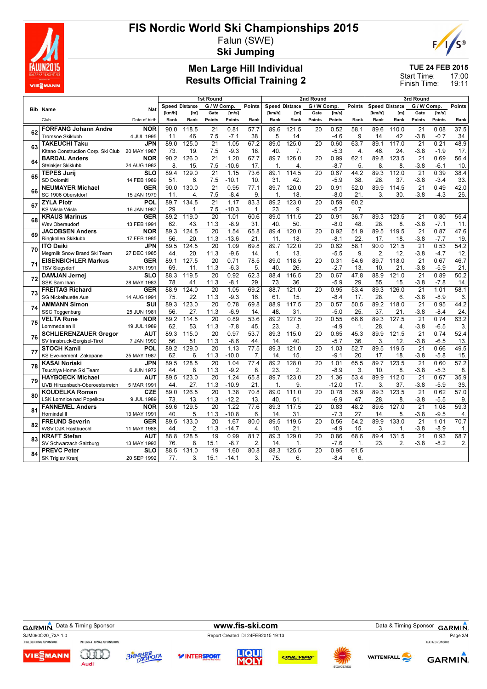

# FIS Nordic World Ski Championships 2015 Falun (SWE)



Ski Jumping

### Men Large Hill Individual Results Official Training 2

TUE 24 FEB 2015

17:00 19:11 Start Time: Finish Time:

| G / W Comp.<br>G / W Comp.<br>Speed Distance<br>G / W Comp.<br><b>Speed Distance</b><br>Points<br>Points<br>Speed Distance<br><b>Bib Name</b><br>Nat<br>[km/h]<br>Gate<br>[m/s]<br>[km/h]<br>Gate<br>[m/s]<br>[km/h]<br>Gate<br>[m/s]<br>[m]<br>[m]<br>[m]<br>Date of birth<br>Club<br>Rank<br>Points<br>Points<br>Points<br>Rank<br>Rank<br>Points<br>Points<br>Rank<br>Rank<br>Rank<br>Rank<br>Points<br>Rank<br>57.7<br>58.1<br>37.5<br><b>FORFANG Johann Andre</b><br><b>NOR</b><br>118.5<br>$\overline{21}$<br>0.81<br>121.5<br>0.52<br>110.0<br>$\overline{21}$<br>0.08<br>90.0<br>89.6<br>20<br>89.6<br>62<br>9.<br><b>Tromsoe Skiklubb</b><br>4 JUL 1995<br>46.<br>7.5<br>$-7.1$<br>38.<br>5.<br>14.<br>$-4.6$<br>14.<br>42.<br>$-3.8$<br>$-0.7$<br>34.<br>11.<br>JPN<br>125.0<br>$\overline{21}$<br>1.05<br>125.0<br>0.60<br>$\overline{21}$<br>0.21<br><b>TAKEUCHI Taku</b><br>89.0<br>67.2<br>89.0<br>63.7<br>89.1<br>117.0<br>20<br>63<br>7.5<br>46<br>Kitano Construction Corp. Ski Club<br>19.<br>$-9.3$<br>18.<br>40<br>7.<br>$-5.3$<br>24.<br>$-3.8$<br>$-1.9$<br>20 MAY 1987<br>73.<br>4.<br><b>NOR</b><br>90.2<br>126.0<br>$\overline{21}$<br>1.20<br>67.7<br>89.7<br>126.0<br>0.99<br>62.1<br>89.8<br>123.5<br>$\overline{21}$<br>0.69<br><b>BARDAL Anders</b><br>20<br>64<br><b>Steinkier Skiklubb</b><br>7.5<br>$-10.6$<br>17.<br>$-8.7$<br>5.<br>8<br>8.<br>$-3.8$<br>$-6.1$<br>24 AUG 1982<br>8.<br>15.<br>$\overline{4}$<br>1<br><b>SLO</b><br>89.4<br>129.0<br>21<br>1.15<br>73.6<br>89.1<br>114.5<br>20<br>0.67<br>44.2<br>89.3<br>112.0<br>21<br>0.39<br><b>TEPES Jurij</b><br>65<br>38<br>SD Dolomiti<br>6.<br>7.5<br>$-10.1$<br>10.<br>31<br>42.<br>$-5.9$<br>28.<br>37.<br>$-3.8$<br>$-3.4$<br>14 FEB 1989<br>51.<br><b>GER</b><br>130.0<br>21<br>0.95<br>77.1<br>89.7<br>120.0<br>0.91<br>52.0<br>89.9<br>21<br>0.49<br><b>NEUMAYER Michael</b><br>90.0<br>20<br>114.5<br>66<br>SC 1906 Oberstdorf<br>7.5<br>21.<br>3.<br>30.<br>$-3.8$<br>$-4.3$<br>15 JAN 1979<br>11.<br>$-8.4$<br>9.<br>$\mathbf{1}$<br>18.<br>$-8.0$<br>4.<br>60.2<br><b>ZYLA Piotr</b><br>POL<br>89.7<br>134.5<br>$\overline{21}$<br>83.3<br>89.2<br>123.0<br>0.59<br>1.17<br>20<br>67<br>KS Wisla Wisla<br>16 JAN 1987<br>29<br>7.5<br>$-10.3$<br>23<br>9<br>$-5.2$<br>$\overline{7}$<br>1.<br>$\mathbf 1$<br>0.91<br><b>KRAUS Marinus</b><br><b>GER</b><br>89.2<br>119.0<br>$\overline{20}$<br>1.01<br>60.6<br>89.0<br>111.5<br>36.7<br>123.5<br>21<br>0.80<br>20<br>89.3<br>68<br>43.<br>$-8.9$<br>50.<br>$-8.0$<br>28<br>$-3.8$<br>$-7.1$<br><b>Wsv Oberaudorf</b><br>62.<br>11.3<br>31.<br>40<br>48.<br>8.<br>13 FEB 1991<br>$\overline{20}$<br>1.54<br>65.8<br>120.0<br>0.92<br>51.9<br>89.5<br>$\overline{21}$<br>0.87<br>47.6<br><b>NOR</b><br>89.3<br>124.5<br>89.4<br>119.5<br><b>JACOBSEN Anders</b><br>20<br>69<br><b>Ringkollen Skiklubb</b><br>56.<br>20.<br>11.3<br>$-13.6$<br>21.<br>11<br>18<br>$-8.1$<br>22<br>18.<br>$-3.8$<br>$-7.7$<br>17 FEB 1985<br>17.<br>19.<br>0.53<br>JPN<br>89.5<br>124.5<br>20<br>1.09<br>69.8<br>89.7<br>122.0<br>0.62<br>58.1<br>90.0<br>121.5<br>21<br><b>ITO Daiki</b><br>20<br>70<br>20.<br>11.3<br>$-9.6$<br>13.<br>$-5.5$<br>9<br>$\overline{2}$<br>12.<br>$-3.8$<br>12.<br>Megmilk Snow Brand Ski Team<br>27 DEC 1985<br>44<br>14.<br>$\mathbf{1}$<br>$-4.7$<br><b>EISENBICHLER Markus</b><br><b>GER</b><br>127.5<br>20<br>0.71<br>78.5<br>89.0<br>118.5<br>0.31<br>54.6<br>89.7<br>118.0<br>$\overline{21}$<br>0.67<br>46.7<br>89.1<br>20<br>71<br>11.<br>11.3<br>$-6.3$<br>40<br>26.<br>$-2.7$<br>10<br>21.<br>$-3.8$<br>$-5.9$<br>21.<br>3 APR 1991<br>69<br>5.<br>13<br><b>TSV Siegsdorf</b><br>119.5<br>$\overline{20}$<br>0.92<br>$\overline{21}$<br>0.89<br>50.2<br><b>SLO</b><br>88.3<br>62.3<br>88.4<br>116.5<br>0.67<br>47.8<br>88.9<br>121.0<br><b>DAMJAN Jernei</b><br>20<br>72<br>SSK Sam Ihan<br>28 MAY 1983<br>41.<br>11.3<br>$-8.1$<br>29.<br>36.<br>$-5.9$<br>29<br>55<br>15.<br>$-3.8$<br>$-7.8$<br>14.<br>78.<br>73<br><b>GER</b><br>124.0<br>20<br>0.95<br>89.3<br>$\overline{21}$<br>1.01<br>58.1<br><b>FREITAG Richard</b><br>88.9<br>1.05<br>69.2<br>88.7<br>121.0<br>53.4<br>126.0<br>20<br>73<br>22.<br>11.3<br>$-9.3$<br>61<br>15.<br>$-8.4$<br>28<br>$-3.8$<br>$-8.9$<br>6.<br><b>SG Nickelhuette Aue</b><br>14 AUG 1991<br>75.<br>16.<br>17<br>6.<br>123.0<br>$\overline{20}$<br>117.5<br>$\overline{21}$<br>44.2<br>$\overline{\mathsf{s}}$ UI<br>89.3<br>0.78<br>69.8<br>88.9<br>0.57<br>50.5<br>89.2<br>118.0<br>0.95<br><b>AMMANN Simon</b><br>20<br>74<br>27.<br>31.<br>$-5.0$<br>11.3<br>$-6.9$<br>14<br>48<br>25<br>37.<br>21.<br>$-3.8$<br>$-8.4$<br>24.<br><b>SSC Toggenburg</b><br>25 JUN 1981<br>56<br>89.2<br>21<br>63.2<br><b>VELTA Rune</b><br><b>NOR</b><br>89.2<br>114.5<br>$\overline{20}$<br>0.89<br>53.6<br>127.5<br>$\overline{20}$<br>0.55<br>68.6<br>89.3<br>127.5<br>0.74<br>75<br>53.<br>11.3<br>$-7.8$<br>45.<br>23.<br>3.<br>$-4.9$<br>28<br>$-3.8$<br>$-6.5$<br>3.<br>Lommedalen II<br>19 JUL 1989<br>62.<br>$\mathbf{1}$<br>4<br>115.0<br>$\overline{20}$<br>0.97<br>$\overline{53.7}$<br>89.3<br>115.0<br>0.65<br>89.9<br>$\overline{21}$<br>0.74<br>52.4<br><b>SCHLIERENZAUER Gregor</b><br><b>AUT</b><br>89.3<br>20<br>45.3<br>121.5<br>76<br>SV Innsbruck-Bergisel-Tirol<br>7 JAN 1990<br>51.<br>11.3<br>$-8.6$<br>44.<br>14<br>40.<br>$-5.7$<br>36<br>3<br>12.<br>$-3.8$<br>$-6.5$<br>13.<br>56<br>89.3<br>49.5<br>POL<br>89.2<br>129.0<br>20<br>1.13<br>77.5<br>121.0<br>1.03<br>52.7<br>89.5<br>119.5<br>21<br>0.66<br><b>STOCH Kamil</b><br>20<br>77<br>KS Eve-nement Zakopane<br>25 MAY 1987<br>62.<br>6.<br>11.3<br>$-10.0$<br>7.<br>14.<br>15.<br>$-9.1$<br>20<br>17.<br>18.<br>$-3.8$<br>$-5.8$<br>15.<br>$\overline{20}$<br>89.2<br>65.5<br>$\overline{21}$<br>57.2<br>89.5<br>128.5<br>1.04<br>128.0<br>1.01<br>89.7<br>123.5<br>0.60<br>KASAI Noriaki<br>JPN<br>77.4<br>20<br>78<br>8.<br>11.3<br>$-9.2$<br>23.<br>$\overline{2}$<br>$-8.9$<br>3.<br>10<br>$-3.8$<br>$-5.3$<br>8.<br>Tsuchiya Home Ski Team<br>6 JUN 1972<br>44<br>8.<br>8.<br>35.9<br>$\overline{20}$<br>1.24<br>65.8<br>89.7<br>123.0<br>1.36<br>53.4<br>89.9<br>$\overline{21}$<br>0.67<br><b>HAYBOECK Michael</b><br><b>AUT</b><br>89.5<br>123.0<br>112.0<br>20<br>79<br>27.<br>11.3<br>$-10.9$<br>21.<br>$\mathbf{1}$<br>9<br>$-12.0$<br>17<br>3.<br>37.<br>$-3.8$<br>$-5.9$<br>36.<br>44.<br>UVB Hinzenbach-Oberoesterreich<br>5 MAR 1991<br>126.5<br>111.0<br>0.78<br>89.3<br>21<br>0.62<br>57.0<br><b>CZE</b><br>89.0<br>20<br>1.38<br>70.8<br>89.0<br>36.9<br>123.5<br><b>KOUDELKA Roman</b><br>20<br>80<br>13.<br>$-12.2$<br>51.<br>$-6.9$<br>28<br>$-3.8$<br>$-5.5$<br>73.<br>11.3<br>13.<br>40<br>47<br>8.<br><b>LSK Lomnice nad Popelkou</b><br>9 JUL 1989<br>$\overline{20}$<br>1.22<br>89.6<br>$\overline{21}$<br>1.08<br><b>FANNEMEL Anders</b><br><b>NOR</b><br>89.6<br>129.5<br>77.6<br>89.3<br>117.5<br>20<br>0.83<br>48.2<br>127.0<br>81<br>Hornindal II<br>5.<br>11.3<br>$-10.8$<br>14.<br>31.<br>$-7.3$<br>27.<br>5.<br>$-3.8$<br>$-9.5$<br>13 MAY 1991<br>40.<br>6.<br>14<br>$\overline{21}$<br><b>GER</b><br>89.5<br>133.0<br>20<br>1.67<br>80.0<br>89.5<br>119.5<br>0.56<br>54.2<br>89.9<br>133.0<br>1.01<br><b>FREUND Severin</b><br>20<br>82<br>2.<br>11.3<br>$-14.7$<br>10.<br>21.<br>$-4.9$<br>15.<br>3.<br>$-3.8$<br>$-8.9$<br><b>WSV DJK Rastbuechl</b><br>11 MAY 1988<br>44.<br>4.<br>1.<br><b>AUT</b><br>81.7<br>21<br>0.93<br><b>KRAFT Stefan</b><br>88.8<br>128.5<br>19<br>0.99<br>89.3<br>129.0<br>0.86<br>68.6<br>89.4<br>131.5<br>20<br>83<br>$-3.8$<br>$-8.2$<br>SV Schwarzach-Salzburg<br>13 MAY 1993<br>8.<br>15.1<br>-8.7<br>2.<br>14.<br>$-7.6$<br>$\mathbf{1}$ .<br>23.<br>2.<br>76.<br>1.<br>1.60<br>$\overline{\text{SLO}}$<br>88.5<br>131.0<br>19<br>80.8<br>88.3<br>125.5<br>0.95<br>61.5<br><b>PREVC Peter</b><br>20<br>84<br>6.<br>20 SEP 1992<br>3.<br>75.<br>6.<br>$-8.4$<br>SK Triglav Kranj<br>77.<br>3.<br>15.1<br>$-14.1$ |  |  | <b>1st Round</b><br>2nd Round |  |  |  |  |  |  |  | 3rd Round |  |  |  |  |                |
|-----------------------------------------------------------------------------------------------------------------------------------------------------------------------------------------------------------------------------------------------------------------------------------------------------------------------------------------------------------------------------------------------------------------------------------------------------------------------------------------------------------------------------------------------------------------------------------------------------------------------------------------------------------------------------------------------------------------------------------------------------------------------------------------------------------------------------------------------------------------------------------------------------------------------------------------------------------------------------------------------------------------------------------------------------------------------------------------------------------------------------------------------------------------------------------------------------------------------------------------------------------------------------------------------------------------------------------------------------------------------------------------------------------------------------------------------------------------------------------------------------------------------------------------------------------------------------------------------------------------------------------------------------------------------------------------------------------------------------------------------------------------------------------------------------------------------------------------------------------------------------------------------------------------------------------------------------------------------------------------------------------------------------------------------------------------------------------------------------------------------------------------------------------------------------------------------------------------------------------------------------------------------------------------------------------------------------------------------------------------------------------------------------------------------------------------------------------------------------------------------------------------------------------------------------------------------------------------------------------------------------------------------------------------------------------------------------------------------------------------------------------------------------------------------------------------------------------------------------------------------------------------------------------------------------------------------------------------------------------------------------------------------------------------------------------------------------------------------------------------------------------------------------------------------------------------------------------------------------------------------------------------------------------------------------------------------------------------------------------------------------------------------------------------------------------------------------------------------------------------------------------------------------------------------------------------------------------------------------------------------------------------------------------------------------------------------------------------------------------------------------------------------------------------------------------------------------------------------------------------------------------------------------------------------------------------------------------------------------------------------------------------------------------------------------------------------------------------------------------------------------------------------------------------------------------------------------------------------------------------------------------------------------------------------------------------------------------------------------------------------------------------------------------------------------------------------------------------------------------------------------------------------------------------------------------------------------------------------------------------------------------------------------------------------------------------------------------------------------------------------------------------------------------------------------------------------------------------------------------------------------------------------------------------------------------------------------------------------------------------------------------------------------------------------------------------------------------------------------------------------------------------------------------------------------------------------------------------------------------------------------------------------------------------------------------------------------------------------------------------------------------------------------------------------------------------------------------------------------------------------------------------------------------------------------------------------------------------------------------------------------------------------------------------------------------------------------------------------------------------------------------------------------------------------------------------------------------------------------------------------------------------------------------------------------------------------------------------------------------------------------------------------------------------------------------------------------------------------------------------------------------------------------------------------------------------------------------------------------------------------------------------------------------------------------------------------------------------------------------------------------------------------------------------------------------------------------------------------------------------------------------------------------------------------------------------------------------------------------------------------------------------------------------------------------------------------------------------------------------------------------------------------------------------------------------------------------------------------------------------------------------------------------------------------------------------------------------------------------------------------------------------------------------------------------------------------------------------------------------------------------------------------------------------------------------------------------------------------------------------------------------------------------------------------------------------------------------------------------------------------------------------------------------------------------------------------------------------------------------------------------------------------------------------------------------------------------------------------------------------------------------------------------------------------------------------------------------------------------------------------------------------------------------------------------------------------------------------------------------------------------------------------------------------------------------------------------------------------------------|--|--|-------------------------------|--|--|--|--|--|--|--|-----------|--|--|--|--|----------------|
|                                                                                                                                                                                                                                                                                                                                                                                                                                                                                                                                                                                                                                                                                                                                                                                                                                                                                                                                                                                                                                                                                                                                                                                                                                                                                                                                                                                                                                                                                                                                                                                                                                                                                                                                                                                                                                                                                                                                                                                                                                                                                                                                                                                                                                                                                                                                                                                                                                                                                                                                                                                                                                                                                                                                                                                                                                                                                                                                                                                                                                                                                                                                                                                                                                                                                                                                                                                                                                                                                                                                                                                                                                                                                                                                                                                                                                                                                                                                                                                                                                                                                                                                                                                                                                                                                                                                                                                                                                                                                                                                                                                                                                                                                                                                                                                                                                                                                                                                                                                                                                                                                                                                                                                                                                                                                                                                                                                                                                                                                                                                                                                                                                                                                                                                                                                                                                                                                                                                                                                                                                                                                                                                                                                                                                                                                                                                                                                                                                                                                                                                                                                                                                                                                                                                                                                                                                                                                                                                                                                                                                                                                                                                                                                                                                                                                                                                                                                                                                                                                                                                                                                                                                                                                                                                                                                                                                                                                                                                                                                   |  |  |                               |  |  |  |  |  |  |  |           |  |  |  |  | Points         |
|                                                                                                                                                                                                                                                                                                                                                                                                                                                                                                                                                                                                                                                                                                                                                                                                                                                                                                                                                                                                                                                                                                                                                                                                                                                                                                                                                                                                                                                                                                                                                                                                                                                                                                                                                                                                                                                                                                                                                                                                                                                                                                                                                                                                                                                                                                                                                                                                                                                                                                                                                                                                                                                                                                                                                                                                                                                                                                                                                                                                                                                                                                                                                                                                                                                                                                                                                                                                                                                                                                                                                                                                                                                                                                                                                                                                                                                                                                                                                                                                                                                                                                                                                                                                                                                                                                                                                                                                                                                                                                                                                                                                                                                                                                                                                                                                                                                                                                                                                                                                                                                                                                                                                                                                                                                                                                                                                                                                                                                                                                                                                                                                                                                                                                                                                                                                                                                                                                                                                                                                                                                                                                                                                                                                                                                                                                                                                                                                                                                                                                                                                                                                                                                                                                                                                                                                                                                                                                                                                                                                                                                                                                                                                                                                                                                                                                                                                                                                                                                                                                                                                                                                                                                                                                                                                                                                                                                                                                                                                                                   |  |  |                               |  |  |  |  |  |  |  |           |  |  |  |  |                |
|                                                                                                                                                                                                                                                                                                                                                                                                                                                                                                                                                                                                                                                                                                                                                                                                                                                                                                                                                                                                                                                                                                                                                                                                                                                                                                                                                                                                                                                                                                                                                                                                                                                                                                                                                                                                                                                                                                                                                                                                                                                                                                                                                                                                                                                                                                                                                                                                                                                                                                                                                                                                                                                                                                                                                                                                                                                                                                                                                                                                                                                                                                                                                                                                                                                                                                                                                                                                                                                                                                                                                                                                                                                                                                                                                                                                                                                                                                                                                                                                                                                                                                                                                                                                                                                                                                                                                                                                                                                                                                                                                                                                                                                                                                                                                                                                                                                                                                                                                                                                                                                                                                                                                                                                                                                                                                                                                                                                                                                                                                                                                                                                                                                                                                                                                                                                                                                                                                                                                                                                                                                                                                                                                                                                                                                                                                                                                                                                                                                                                                                                                                                                                                                                                                                                                                                                                                                                                                                                                                                                                                                                                                                                                                                                                                                                                                                                                                                                                                                                                                                                                                                                                                                                                                                                                                                                                                                                                                                                                                                   |  |  |                               |  |  |  |  |  |  |  |           |  |  |  |  | Rank           |
|                                                                                                                                                                                                                                                                                                                                                                                                                                                                                                                                                                                                                                                                                                                                                                                                                                                                                                                                                                                                                                                                                                                                                                                                                                                                                                                                                                                                                                                                                                                                                                                                                                                                                                                                                                                                                                                                                                                                                                                                                                                                                                                                                                                                                                                                                                                                                                                                                                                                                                                                                                                                                                                                                                                                                                                                                                                                                                                                                                                                                                                                                                                                                                                                                                                                                                                                                                                                                                                                                                                                                                                                                                                                                                                                                                                                                                                                                                                                                                                                                                                                                                                                                                                                                                                                                                                                                                                                                                                                                                                                                                                                                                                                                                                                                                                                                                                                                                                                                                                                                                                                                                                                                                                                                                                                                                                                                                                                                                                                                                                                                                                                                                                                                                                                                                                                                                                                                                                                                                                                                                                                                                                                                                                                                                                                                                                                                                                                                                                                                                                                                                                                                                                                                                                                                                                                                                                                                                                                                                                                                                                                                                                                                                                                                                                                                                                                                                                                                                                                                                                                                                                                                                                                                                                                                                                                                                                                                                                                                                                   |  |  |                               |  |  |  |  |  |  |  |           |  |  |  |  |                |
|                                                                                                                                                                                                                                                                                                                                                                                                                                                                                                                                                                                                                                                                                                                                                                                                                                                                                                                                                                                                                                                                                                                                                                                                                                                                                                                                                                                                                                                                                                                                                                                                                                                                                                                                                                                                                                                                                                                                                                                                                                                                                                                                                                                                                                                                                                                                                                                                                                                                                                                                                                                                                                                                                                                                                                                                                                                                                                                                                                                                                                                                                                                                                                                                                                                                                                                                                                                                                                                                                                                                                                                                                                                                                                                                                                                                                                                                                                                                                                                                                                                                                                                                                                                                                                                                                                                                                                                                                                                                                                                                                                                                                                                                                                                                                                                                                                                                                                                                                                                                                                                                                                                                                                                                                                                                                                                                                                                                                                                                                                                                                                                                                                                                                                                                                                                                                                                                                                                                                                                                                                                                                                                                                                                                                                                                                                                                                                                                                                                                                                                                                                                                                                                                                                                                                                                                                                                                                                                                                                                                                                                                                                                                                                                                                                                                                                                                                                                                                                                                                                                                                                                                                                                                                                                                                                                                                                                                                                                                                                                   |  |  |                               |  |  |  |  |  |  |  |           |  |  |  |  |                |
|                                                                                                                                                                                                                                                                                                                                                                                                                                                                                                                                                                                                                                                                                                                                                                                                                                                                                                                                                                                                                                                                                                                                                                                                                                                                                                                                                                                                                                                                                                                                                                                                                                                                                                                                                                                                                                                                                                                                                                                                                                                                                                                                                                                                                                                                                                                                                                                                                                                                                                                                                                                                                                                                                                                                                                                                                                                                                                                                                                                                                                                                                                                                                                                                                                                                                                                                                                                                                                                                                                                                                                                                                                                                                                                                                                                                                                                                                                                                                                                                                                                                                                                                                                                                                                                                                                                                                                                                                                                                                                                                                                                                                                                                                                                                                                                                                                                                                                                                                                                                                                                                                                                                                                                                                                                                                                                                                                                                                                                                                                                                                                                                                                                                                                                                                                                                                                                                                                                                                                                                                                                                                                                                                                                                                                                                                                                                                                                                                                                                                                                                                                                                                                                                                                                                                                                                                                                                                                                                                                                                                                                                                                                                                                                                                                                                                                                                                                                                                                                                                                                                                                                                                                                                                                                                                                                                                                                                                                                                                                                   |  |  |                               |  |  |  |  |  |  |  |           |  |  |  |  | 48.9           |
|                                                                                                                                                                                                                                                                                                                                                                                                                                                                                                                                                                                                                                                                                                                                                                                                                                                                                                                                                                                                                                                                                                                                                                                                                                                                                                                                                                                                                                                                                                                                                                                                                                                                                                                                                                                                                                                                                                                                                                                                                                                                                                                                                                                                                                                                                                                                                                                                                                                                                                                                                                                                                                                                                                                                                                                                                                                                                                                                                                                                                                                                                                                                                                                                                                                                                                                                                                                                                                                                                                                                                                                                                                                                                                                                                                                                                                                                                                                                                                                                                                                                                                                                                                                                                                                                                                                                                                                                                                                                                                                                                                                                                                                                                                                                                                                                                                                                                                                                                                                                                                                                                                                                                                                                                                                                                                                                                                                                                                                                                                                                                                                                                                                                                                                                                                                                                                                                                                                                                                                                                                                                                                                                                                                                                                                                                                                                                                                                                                                                                                                                                                                                                                                                                                                                                                                                                                                                                                                                                                                                                                                                                                                                                                                                                                                                                                                                                                                                                                                                                                                                                                                                                                                                                                                                                                                                                                                                                                                                                                                   |  |  |                               |  |  |  |  |  |  |  |           |  |  |  |  | 17.            |
|                                                                                                                                                                                                                                                                                                                                                                                                                                                                                                                                                                                                                                                                                                                                                                                                                                                                                                                                                                                                                                                                                                                                                                                                                                                                                                                                                                                                                                                                                                                                                                                                                                                                                                                                                                                                                                                                                                                                                                                                                                                                                                                                                                                                                                                                                                                                                                                                                                                                                                                                                                                                                                                                                                                                                                                                                                                                                                                                                                                                                                                                                                                                                                                                                                                                                                                                                                                                                                                                                                                                                                                                                                                                                                                                                                                                                                                                                                                                                                                                                                                                                                                                                                                                                                                                                                                                                                                                                                                                                                                                                                                                                                                                                                                                                                                                                                                                                                                                                                                                                                                                                                                                                                                                                                                                                                                                                                                                                                                                                                                                                                                                                                                                                                                                                                                                                                                                                                                                                                                                                                                                                                                                                                                                                                                                                                                                                                                                                                                                                                                                                                                                                                                                                                                                                                                                                                                                                                                                                                                                                                                                                                                                                                                                                                                                                                                                                                                                                                                                                                                                                                                                                                                                                                                                                                                                                                                                                                                                                                                   |  |  |                               |  |  |  |  |  |  |  |           |  |  |  |  | 56.4           |
|                                                                                                                                                                                                                                                                                                                                                                                                                                                                                                                                                                                                                                                                                                                                                                                                                                                                                                                                                                                                                                                                                                                                                                                                                                                                                                                                                                                                                                                                                                                                                                                                                                                                                                                                                                                                                                                                                                                                                                                                                                                                                                                                                                                                                                                                                                                                                                                                                                                                                                                                                                                                                                                                                                                                                                                                                                                                                                                                                                                                                                                                                                                                                                                                                                                                                                                                                                                                                                                                                                                                                                                                                                                                                                                                                                                                                                                                                                                                                                                                                                                                                                                                                                                                                                                                                                                                                                                                                                                                                                                                                                                                                                                                                                                                                                                                                                                                                                                                                                                                                                                                                                                                                                                                                                                                                                                                                                                                                                                                                                                                                                                                                                                                                                                                                                                                                                                                                                                                                                                                                                                                                                                                                                                                                                                                                                                                                                                                                                                                                                                                                                                                                                                                                                                                                                                                                                                                                                                                                                                                                                                                                                                                                                                                                                                                                                                                                                                                                                                                                                                                                                                                                                                                                                                                                                                                                                                                                                                                                                                   |  |  |                               |  |  |  |  |  |  |  |           |  |  |  |  | 10.            |
|                                                                                                                                                                                                                                                                                                                                                                                                                                                                                                                                                                                                                                                                                                                                                                                                                                                                                                                                                                                                                                                                                                                                                                                                                                                                                                                                                                                                                                                                                                                                                                                                                                                                                                                                                                                                                                                                                                                                                                                                                                                                                                                                                                                                                                                                                                                                                                                                                                                                                                                                                                                                                                                                                                                                                                                                                                                                                                                                                                                                                                                                                                                                                                                                                                                                                                                                                                                                                                                                                                                                                                                                                                                                                                                                                                                                                                                                                                                                                                                                                                                                                                                                                                                                                                                                                                                                                                                                                                                                                                                                                                                                                                                                                                                                                                                                                                                                                                                                                                                                                                                                                                                                                                                                                                                                                                                                                                                                                                                                                                                                                                                                                                                                                                                                                                                                                                                                                                                                                                                                                                                                                                                                                                                                                                                                                                                                                                                                                                                                                                                                                                                                                                                                                                                                                                                                                                                                                                                                                                                                                                                                                                                                                                                                                                                                                                                                                                                                                                                                                                                                                                                                                                                                                                                                                                                                                                                                                                                                                                                   |  |  |                               |  |  |  |  |  |  |  |           |  |  |  |  | 38.4           |
|                                                                                                                                                                                                                                                                                                                                                                                                                                                                                                                                                                                                                                                                                                                                                                                                                                                                                                                                                                                                                                                                                                                                                                                                                                                                                                                                                                                                                                                                                                                                                                                                                                                                                                                                                                                                                                                                                                                                                                                                                                                                                                                                                                                                                                                                                                                                                                                                                                                                                                                                                                                                                                                                                                                                                                                                                                                                                                                                                                                                                                                                                                                                                                                                                                                                                                                                                                                                                                                                                                                                                                                                                                                                                                                                                                                                                                                                                                                                                                                                                                                                                                                                                                                                                                                                                                                                                                                                                                                                                                                                                                                                                                                                                                                                                                                                                                                                                                                                                                                                                                                                                                                                                                                                                                                                                                                                                                                                                                                                                                                                                                                                                                                                                                                                                                                                                                                                                                                                                                                                                                                                                                                                                                                                                                                                                                                                                                                                                                                                                                                                                                                                                                                                                                                                                                                                                                                                                                                                                                                                                                                                                                                                                                                                                                                                                                                                                                                                                                                                                                                                                                                                                                                                                                                                                                                                                                                                                                                                                                                   |  |  |                               |  |  |  |  |  |  |  |           |  |  |  |  | 33.            |
|                                                                                                                                                                                                                                                                                                                                                                                                                                                                                                                                                                                                                                                                                                                                                                                                                                                                                                                                                                                                                                                                                                                                                                                                                                                                                                                                                                                                                                                                                                                                                                                                                                                                                                                                                                                                                                                                                                                                                                                                                                                                                                                                                                                                                                                                                                                                                                                                                                                                                                                                                                                                                                                                                                                                                                                                                                                                                                                                                                                                                                                                                                                                                                                                                                                                                                                                                                                                                                                                                                                                                                                                                                                                                                                                                                                                                                                                                                                                                                                                                                                                                                                                                                                                                                                                                                                                                                                                                                                                                                                                                                                                                                                                                                                                                                                                                                                                                                                                                                                                                                                                                                                                                                                                                                                                                                                                                                                                                                                                                                                                                                                                                                                                                                                                                                                                                                                                                                                                                                                                                                                                                                                                                                                                                                                                                                                                                                                                                                                                                                                                                                                                                                                                                                                                                                                                                                                                                                                                                                                                                                                                                                                                                                                                                                                                                                                                                                                                                                                                                                                                                                                                                                                                                                                                                                                                                                                                                                                                                                                   |  |  |                               |  |  |  |  |  |  |  |           |  |  |  |  | 42.0           |
|                                                                                                                                                                                                                                                                                                                                                                                                                                                                                                                                                                                                                                                                                                                                                                                                                                                                                                                                                                                                                                                                                                                                                                                                                                                                                                                                                                                                                                                                                                                                                                                                                                                                                                                                                                                                                                                                                                                                                                                                                                                                                                                                                                                                                                                                                                                                                                                                                                                                                                                                                                                                                                                                                                                                                                                                                                                                                                                                                                                                                                                                                                                                                                                                                                                                                                                                                                                                                                                                                                                                                                                                                                                                                                                                                                                                                                                                                                                                                                                                                                                                                                                                                                                                                                                                                                                                                                                                                                                                                                                                                                                                                                                                                                                                                                                                                                                                                                                                                                                                                                                                                                                                                                                                                                                                                                                                                                                                                                                                                                                                                                                                                                                                                                                                                                                                                                                                                                                                                                                                                                                                                                                                                                                                                                                                                                                                                                                                                                                                                                                                                                                                                                                                                                                                                                                                                                                                                                                                                                                                                                                                                                                                                                                                                                                                                                                                                                                                                                                                                                                                                                                                                                                                                                                                                                                                                                                                                                                                                                                   |  |  |                               |  |  |  |  |  |  |  |           |  |  |  |  | 26.            |
|                                                                                                                                                                                                                                                                                                                                                                                                                                                                                                                                                                                                                                                                                                                                                                                                                                                                                                                                                                                                                                                                                                                                                                                                                                                                                                                                                                                                                                                                                                                                                                                                                                                                                                                                                                                                                                                                                                                                                                                                                                                                                                                                                                                                                                                                                                                                                                                                                                                                                                                                                                                                                                                                                                                                                                                                                                                                                                                                                                                                                                                                                                                                                                                                                                                                                                                                                                                                                                                                                                                                                                                                                                                                                                                                                                                                                                                                                                                                                                                                                                                                                                                                                                                                                                                                                                                                                                                                                                                                                                                                                                                                                                                                                                                                                                                                                                                                                                                                                                                                                                                                                                                                                                                                                                                                                                                                                                                                                                                                                                                                                                                                                                                                                                                                                                                                                                                                                                                                                                                                                                                                                                                                                                                                                                                                                                                                                                                                                                                                                                                                                                                                                                                                                                                                                                                                                                                                                                                                                                                                                                                                                                                                                                                                                                                                                                                                                                                                                                                                                                                                                                                                                                                                                                                                                                                                                                                                                                                                                                                   |  |  |                               |  |  |  |  |  |  |  |           |  |  |  |  |                |
|                                                                                                                                                                                                                                                                                                                                                                                                                                                                                                                                                                                                                                                                                                                                                                                                                                                                                                                                                                                                                                                                                                                                                                                                                                                                                                                                                                                                                                                                                                                                                                                                                                                                                                                                                                                                                                                                                                                                                                                                                                                                                                                                                                                                                                                                                                                                                                                                                                                                                                                                                                                                                                                                                                                                                                                                                                                                                                                                                                                                                                                                                                                                                                                                                                                                                                                                                                                                                                                                                                                                                                                                                                                                                                                                                                                                                                                                                                                                                                                                                                                                                                                                                                                                                                                                                                                                                                                                                                                                                                                                                                                                                                                                                                                                                                                                                                                                                                                                                                                                                                                                                                                                                                                                                                                                                                                                                                                                                                                                                                                                                                                                                                                                                                                                                                                                                                                                                                                                                                                                                                                                                                                                                                                                                                                                                                                                                                                                                                                                                                                                                                                                                                                                                                                                                                                                                                                                                                                                                                                                                                                                                                                                                                                                                                                                                                                                                                                                                                                                                                                                                                                                                                                                                                                                                                                                                                                                                                                                                                                   |  |  |                               |  |  |  |  |  |  |  |           |  |  |  |  |                |
|                                                                                                                                                                                                                                                                                                                                                                                                                                                                                                                                                                                                                                                                                                                                                                                                                                                                                                                                                                                                                                                                                                                                                                                                                                                                                                                                                                                                                                                                                                                                                                                                                                                                                                                                                                                                                                                                                                                                                                                                                                                                                                                                                                                                                                                                                                                                                                                                                                                                                                                                                                                                                                                                                                                                                                                                                                                                                                                                                                                                                                                                                                                                                                                                                                                                                                                                                                                                                                                                                                                                                                                                                                                                                                                                                                                                                                                                                                                                                                                                                                                                                                                                                                                                                                                                                                                                                                                                                                                                                                                                                                                                                                                                                                                                                                                                                                                                                                                                                                                                                                                                                                                                                                                                                                                                                                                                                                                                                                                                                                                                                                                                                                                                                                                                                                                                                                                                                                                                                                                                                                                                                                                                                                                                                                                                                                                                                                                                                                                                                                                                                                                                                                                                                                                                                                                                                                                                                                                                                                                                                                                                                                                                                                                                                                                                                                                                                                                                                                                                                                                                                                                                                                                                                                                                                                                                                                                                                                                                                                                   |  |  |                               |  |  |  |  |  |  |  |           |  |  |  |  | 55.4           |
|                                                                                                                                                                                                                                                                                                                                                                                                                                                                                                                                                                                                                                                                                                                                                                                                                                                                                                                                                                                                                                                                                                                                                                                                                                                                                                                                                                                                                                                                                                                                                                                                                                                                                                                                                                                                                                                                                                                                                                                                                                                                                                                                                                                                                                                                                                                                                                                                                                                                                                                                                                                                                                                                                                                                                                                                                                                                                                                                                                                                                                                                                                                                                                                                                                                                                                                                                                                                                                                                                                                                                                                                                                                                                                                                                                                                                                                                                                                                                                                                                                                                                                                                                                                                                                                                                                                                                                                                                                                                                                                                                                                                                                                                                                                                                                                                                                                                                                                                                                                                                                                                                                                                                                                                                                                                                                                                                                                                                                                                                                                                                                                                                                                                                                                                                                                                                                                                                                                                                                                                                                                                                                                                                                                                                                                                                                                                                                                                                                                                                                                                                                                                                                                                                                                                                                                                                                                                                                                                                                                                                                                                                                                                                                                                                                                                                                                                                                                                                                                                                                                                                                                                                                                                                                                                                                                                                                                                                                                                                                                   |  |  |                               |  |  |  |  |  |  |  |           |  |  |  |  | 11.            |
|                                                                                                                                                                                                                                                                                                                                                                                                                                                                                                                                                                                                                                                                                                                                                                                                                                                                                                                                                                                                                                                                                                                                                                                                                                                                                                                                                                                                                                                                                                                                                                                                                                                                                                                                                                                                                                                                                                                                                                                                                                                                                                                                                                                                                                                                                                                                                                                                                                                                                                                                                                                                                                                                                                                                                                                                                                                                                                                                                                                                                                                                                                                                                                                                                                                                                                                                                                                                                                                                                                                                                                                                                                                                                                                                                                                                                                                                                                                                                                                                                                                                                                                                                                                                                                                                                                                                                                                                                                                                                                                                                                                                                                                                                                                                                                                                                                                                                                                                                                                                                                                                                                                                                                                                                                                                                                                                                                                                                                                                                                                                                                                                                                                                                                                                                                                                                                                                                                                                                                                                                                                                                                                                                                                                                                                                                                                                                                                                                                                                                                                                                                                                                                                                                                                                                                                                                                                                                                                                                                                                                                                                                                                                                                                                                                                                                                                                                                                                                                                                                                                                                                                                                                                                                                                                                                                                                                                                                                                                                                                   |  |  |                               |  |  |  |  |  |  |  |           |  |  |  |  |                |
|                                                                                                                                                                                                                                                                                                                                                                                                                                                                                                                                                                                                                                                                                                                                                                                                                                                                                                                                                                                                                                                                                                                                                                                                                                                                                                                                                                                                                                                                                                                                                                                                                                                                                                                                                                                                                                                                                                                                                                                                                                                                                                                                                                                                                                                                                                                                                                                                                                                                                                                                                                                                                                                                                                                                                                                                                                                                                                                                                                                                                                                                                                                                                                                                                                                                                                                                                                                                                                                                                                                                                                                                                                                                                                                                                                                                                                                                                                                                                                                                                                                                                                                                                                                                                                                                                                                                                                                                                                                                                                                                                                                                                                                                                                                                                                                                                                                                                                                                                                                                                                                                                                                                                                                                                                                                                                                                                                                                                                                                                                                                                                                                                                                                                                                                                                                                                                                                                                                                                                                                                                                                                                                                                                                                                                                                                                                                                                                                                                                                                                                                                                                                                                                                                                                                                                                                                                                                                                                                                                                                                                                                                                                                                                                                                                                                                                                                                                                                                                                                                                                                                                                                                                                                                                                                                                                                                                                                                                                                                                                   |  |  |                               |  |  |  |  |  |  |  |           |  |  |  |  |                |
|                                                                                                                                                                                                                                                                                                                                                                                                                                                                                                                                                                                                                                                                                                                                                                                                                                                                                                                                                                                                                                                                                                                                                                                                                                                                                                                                                                                                                                                                                                                                                                                                                                                                                                                                                                                                                                                                                                                                                                                                                                                                                                                                                                                                                                                                                                                                                                                                                                                                                                                                                                                                                                                                                                                                                                                                                                                                                                                                                                                                                                                                                                                                                                                                                                                                                                                                                                                                                                                                                                                                                                                                                                                                                                                                                                                                                                                                                                                                                                                                                                                                                                                                                                                                                                                                                                                                                                                                                                                                                                                                                                                                                                                                                                                                                                                                                                                                                                                                                                                                                                                                                                                                                                                                                                                                                                                                                                                                                                                                                                                                                                                                                                                                                                                                                                                                                                                                                                                                                                                                                                                                                                                                                                                                                                                                                                                                                                                                                                                                                                                                                                                                                                                                                                                                                                                                                                                                                                                                                                                                                                                                                                                                                                                                                                                                                                                                                                                                                                                                                                                                                                                                                                                                                                                                                                                                                                                                                                                                                                                   |  |  |                               |  |  |  |  |  |  |  |           |  |  |  |  | 54.2           |
|                                                                                                                                                                                                                                                                                                                                                                                                                                                                                                                                                                                                                                                                                                                                                                                                                                                                                                                                                                                                                                                                                                                                                                                                                                                                                                                                                                                                                                                                                                                                                                                                                                                                                                                                                                                                                                                                                                                                                                                                                                                                                                                                                                                                                                                                                                                                                                                                                                                                                                                                                                                                                                                                                                                                                                                                                                                                                                                                                                                                                                                                                                                                                                                                                                                                                                                                                                                                                                                                                                                                                                                                                                                                                                                                                                                                                                                                                                                                                                                                                                                                                                                                                                                                                                                                                                                                                                                                                                                                                                                                                                                                                                                                                                                                                                                                                                                                                                                                                                                                                                                                                                                                                                                                                                                                                                                                                                                                                                                                                                                                                                                                                                                                                                                                                                                                                                                                                                                                                                                                                                                                                                                                                                                                                                                                                                                                                                                                                                                                                                                                                                                                                                                                                                                                                                                                                                                                                                                                                                                                                                                                                                                                                                                                                                                                                                                                                                                                                                                                                                                                                                                                                                                                                                                                                                                                                                                                                                                                                                                   |  |  |                               |  |  |  |  |  |  |  |           |  |  |  |  |                |
|                                                                                                                                                                                                                                                                                                                                                                                                                                                                                                                                                                                                                                                                                                                                                                                                                                                                                                                                                                                                                                                                                                                                                                                                                                                                                                                                                                                                                                                                                                                                                                                                                                                                                                                                                                                                                                                                                                                                                                                                                                                                                                                                                                                                                                                                                                                                                                                                                                                                                                                                                                                                                                                                                                                                                                                                                                                                                                                                                                                                                                                                                                                                                                                                                                                                                                                                                                                                                                                                                                                                                                                                                                                                                                                                                                                                                                                                                                                                                                                                                                                                                                                                                                                                                                                                                                                                                                                                                                                                                                                                                                                                                                                                                                                                                                                                                                                                                                                                                                                                                                                                                                                                                                                                                                                                                                                                                                                                                                                                                                                                                                                                                                                                                                                                                                                                                                                                                                                                                                                                                                                                                                                                                                                                                                                                                                                                                                                                                                                                                                                                                                                                                                                                                                                                                                                                                                                                                                                                                                                                                                                                                                                                                                                                                                                                                                                                                                                                                                                                                                                                                                                                                                                                                                                                                                                                                                                                                                                                                                                   |  |  |                               |  |  |  |  |  |  |  |           |  |  |  |  |                |
|                                                                                                                                                                                                                                                                                                                                                                                                                                                                                                                                                                                                                                                                                                                                                                                                                                                                                                                                                                                                                                                                                                                                                                                                                                                                                                                                                                                                                                                                                                                                                                                                                                                                                                                                                                                                                                                                                                                                                                                                                                                                                                                                                                                                                                                                                                                                                                                                                                                                                                                                                                                                                                                                                                                                                                                                                                                                                                                                                                                                                                                                                                                                                                                                                                                                                                                                                                                                                                                                                                                                                                                                                                                                                                                                                                                                                                                                                                                                                                                                                                                                                                                                                                                                                                                                                                                                                                                                                                                                                                                                                                                                                                                                                                                                                                                                                                                                                                                                                                                                                                                                                                                                                                                                                                                                                                                                                                                                                                                                                                                                                                                                                                                                                                                                                                                                                                                                                                                                                                                                                                                                                                                                                                                                                                                                                                                                                                                                                                                                                                                                                                                                                                                                                                                                                                                                                                                                                                                                                                                                                                                                                                                                                                                                                                                                                                                                                                                                                                                                                                                                                                                                                                                                                                                                                                                                                                                                                                                                                                                   |  |  |                               |  |  |  |  |  |  |  |           |  |  |  |  |                |
|                                                                                                                                                                                                                                                                                                                                                                                                                                                                                                                                                                                                                                                                                                                                                                                                                                                                                                                                                                                                                                                                                                                                                                                                                                                                                                                                                                                                                                                                                                                                                                                                                                                                                                                                                                                                                                                                                                                                                                                                                                                                                                                                                                                                                                                                                                                                                                                                                                                                                                                                                                                                                                                                                                                                                                                                                                                                                                                                                                                                                                                                                                                                                                                                                                                                                                                                                                                                                                                                                                                                                                                                                                                                                                                                                                                                                                                                                                                                                                                                                                                                                                                                                                                                                                                                                                                                                                                                                                                                                                                                                                                                                                                                                                                                                                                                                                                                                                                                                                                                                                                                                                                                                                                                                                                                                                                                                                                                                                                                                                                                                                                                                                                                                                                                                                                                                                                                                                                                                                                                                                                                                                                                                                                                                                                                                                                                                                                                                                                                                                                                                                                                                                                                                                                                                                                                                                                                                                                                                                                                                                                                                                                                                                                                                                                                                                                                                                                                                                                                                                                                                                                                                                                                                                                                                                                                                                                                                                                                                                                   |  |  |                               |  |  |  |  |  |  |  |           |  |  |  |  |                |
|                                                                                                                                                                                                                                                                                                                                                                                                                                                                                                                                                                                                                                                                                                                                                                                                                                                                                                                                                                                                                                                                                                                                                                                                                                                                                                                                                                                                                                                                                                                                                                                                                                                                                                                                                                                                                                                                                                                                                                                                                                                                                                                                                                                                                                                                                                                                                                                                                                                                                                                                                                                                                                                                                                                                                                                                                                                                                                                                                                                                                                                                                                                                                                                                                                                                                                                                                                                                                                                                                                                                                                                                                                                                                                                                                                                                                                                                                                                                                                                                                                                                                                                                                                                                                                                                                                                                                                                                                                                                                                                                                                                                                                                                                                                                                                                                                                                                                                                                                                                                                                                                                                                                                                                                                                                                                                                                                                                                                                                                                                                                                                                                                                                                                                                                                                                                                                                                                                                                                                                                                                                                                                                                                                                                                                                                                                                                                                                                                                                                                                                                                                                                                                                                                                                                                                                                                                                                                                                                                                                                                                                                                                                                                                                                                                                                                                                                                                                                                                                                                                                                                                                                                                                                                                                                                                                                                                                                                                                                                                                   |  |  |                               |  |  |  |  |  |  |  |           |  |  |  |  |                |
|                                                                                                                                                                                                                                                                                                                                                                                                                                                                                                                                                                                                                                                                                                                                                                                                                                                                                                                                                                                                                                                                                                                                                                                                                                                                                                                                                                                                                                                                                                                                                                                                                                                                                                                                                                                                                                                                                                                                                                                                                                                                                                                                                                                                                                                                                                                                                                                                                                                                                                                                                                                                                                                                                                                                                                                                                                                                                                                                                                                                                                                                                                                                                                                                                                                                                                                                                                                                                                                                                                                                                                                                                                                                                                                                                                                                                                                                                                                                                                                                                                                                                                                                                                                                                                                                                                                                                                                                                                                                                                                                                                                                                                                                                                                                                                                                                                                                                                                                                                                                                                                                                                                                                                                                                                                                                                                                                                                                                                                                                                                                                                                                                                                                                                                                                                                                                                                                                                                                                                                                                                                                                                                                                                                                                                                                                                                                                                                                                                                                                                                                                                                                                                                                                                                                                                                                                                                                                                                                                                                                                                                                                                                                                                                                                                                                                                                                                                                                                                                                                                                                                                                                                                                                                                                                                                                                                                                                                                                                                                                   |  |  |                               |  |  |  |  |  |  |  |           |  |  |  |  |                |
|                                                                                                                                                                                                                                                                                                                                                                                                                                                                                                                                                                                                                                                                                                                                                                                                                                                                                                                                                                                                                                                                                                                                                                                                                                                                                                                                                                                                                                                                                                                                                                                                                                                                                                                                                                                                                                                                                                                                                                                                                                                                                                                                                                                                                                                                                                                                                                                                                                                                                                                                                                                                                                                                                                                                                                                                                                                                                                                                                                                                                                                                                                                                                                                                                                                                                                                                                                                                                                                                                                                                                                                                                                                                                                                                                                                                                                                                                                                                                                                                                                                                                                                                                                                                                                                                                                                                                                                                                                                                                                                                                                                                                                                                                                                                                                                                                                                                                                                                                                                                                                                                                                                                                                                                                                                                                                                                                                                                                                                                                                                                                                                                                                                                                                                                                                                                                                                                                                                                                                                                                                                                                                                                                                                                                                                                                                                                                                                                                                                                                                                                                                                                                                                                                                                                                                                                                                                                                                                                                                                                                                                                                                                                                                                                                                                                                                                                                                                                                                                                                                                                                                                                                                                                                                                                                                                                                                                                                                                                                                                   |  |  |                               |  |  |  |  |  |  |  |           |  |  |  |  |                |
|                                                                                                                                                                                                                                                                                                                                                                                                                                                                                                                                                                                                                                                                                                                                                                                                                                                                                                                                                                                                                                                                                                                                                                                                                                                                                                                                                                                                                                                                                                                                                                                                                                                                                                                                                                                                                                                                                                                                                                                                                                                                                                                                                                                                                                                                                                                                                                                                                                                                                                                                                                                                                                                                                                                                                                                                                                                                                                                                                                                                                                                                                                                                                                                                                                                                                                                                                                                                                                                                                                                                                                                                                                                                                                                                                                                                                                                                                                                                                                                                                                                                                                                                                                                                                                                                                                                                                                                                                                                                                                                                                                                                                                                                                                                                                                                                                                                                                                                                                                                                                                                                                                                                                                                                                                                                                                                                                                                                                                                                                                                                                                                                                                                                                                                                                                                                                                                                                                                                                                                                                                                                                                                                                                                                                                                                                                                                                                                                                                                                                                                                                                                                                                                                                                                                                                                                                                                                                                                                                                                                                                                                                                                                                                                                                                                                                                                                                                                                                                                                                                                                                                                                                                                                                                                                                                                                                                                                                                                                                                                   |  |  |                               |  |  |  |  |  |  |  |           |  |  |  |  |                |
|                                                                                                                                                                                                                                                                                                                                                                                                                                                                                                                                                                                                                                                                                                                                                                                                                                                                                                                                                                                                                                                                                                                                                                                                                                                                                                                                                                                                                                                                                                                                                                                                                                                                                                                                                                                                                                                                                                                                                                                                                                                                                                                                                                                                                                                                                                                                                                                                                                                                                                                                                                                                                                                                                                                                                                                                                                                                                                                                                                                                                                                                                                                                                                                                                                                                                                                                                                                                                                                                                                                                                                                                                                                                                                                                                                                                                                                                                                                                                                                                                                                                                                                                                                                                                                                                                                                                                                                                                                                                                                                                                                                                                                                                                                                                                                                                                                                                                                                                                                                                                                                                                                                                                                                                                                                                                                                                                                                                                                                                                                                                                                                                                                                                                                                                                                                                                                                                                                                                                                                                                                                                                                                                                                                                                                                                                                                                                                                                                                                                                                                                                                                                                                                                                                                                                                                                                                                                                                                                                                                                                                                                                                                                                                                                                                                                                                                                                                                                                                                                                                                                                                                                                                                                                                                                                                                                                                                                                                                                                                                   |  |  |                               |  |  |  |  |  |  |  |           |  |  |  |  |                |
|                                                                                                                                                                                                                                                                                                                                                                                                                                                                                                                                                                                                                                                                                                                                                                                                                                                                                                                                                                                                                                                                                                                                                                                                                                                                                                                                                                                                                                                                                                                                                                                                                                                                                                                                                                                                                                                                                                                                                                                                                                                                                                                                                                                                                                                                                                                                                                                                                                                                                                                                                                                                                                                                                                                                                                                                                                                                                                                                                                                                                                                                                                                                                                                                                                                                                                                                                                                                                                                                                                                                                                                                                                                                                                                                                                                                                                                                                                                                                                                                                                                                                                                                                                                                                                                                                                                                                                                                                                                                                                                                                                                                                                                                                                                                                                                                                                                                                                                                                                                                                                                                                                                                                                                                                                                                                                                                                                                                                                                                                                                                                                                                                                                                                                                                                                                                                                                                                                                                                                                                                                                                                                                                                                                                                                                                                                                                                                                                                                                                                                                                                                                                                                                                                                                                                                                                                                                                                                                                                                                                                                                                                                                                                                                                                                                                                                                                                                                                                                                                                                                                                                                                                                                                                                                                                                                                                                                                                                                                                                                   |  |  |                               |  |  |  |  |  |  |  |           |  |  |  |  |                |
|                                                                                                                                                                                                                                                                                                                                                                                                                                                                                                                                                                                                                                                                                                                                                                                                                                                                                                                                                                                                                                                                                                                                                                                                                                                                                                                                                                                                                                                                                                                                                                                                                                                                                                                                                                                                                                                                                                                                                                                                                                                                                                                                                                                                                                                                                                                                                                                                                                                                                                                                                                                                                                                                                                                                                                                                                                                                                                                                                                                                                                                                                                                                                                                                                                                                                                                                                                                                                                                                                                                                                                                                                                                                                                                                                                                                                                                                                                                                                                                                                                                                                                                                                                                                                                                                                                                                                                                                                                                                                                                                                                                                                                                                                                                                                                                                                                                                                                                                                                                                                                                                                                                                                                                                                                                                                                                                                                                                                                                                                                                                                                                                                                                                                                                                                                                                                                                                                                                                                                                                                                                                                                                                                                                                                                                                                                                                                                                                                                                                                                                                                                                                                                                                                                                                                                                                                                                                                                                                                                                                                                                                                                                                                                                                                                                                                                                                                                                                                                                                                                                                                                                                                                                                                                                                                                                                                                                                                                                                                                                   |  |  |                               |  |  |  |  |  |  |  |           |  |  |  |  |                |
|                                                                                                                                                                                                                                                                                                                                                                                                                                                                                                                                                                                                                                                                                                                                                                                                                                                                                                                                                                                                                                                                                                                                                                                                                                                                                                                                                                                                                                                                                                                                                                                                                                                                                                                                                                                                                                                                                                                                                                                                                                                                                                                                                                                                                                                                                                                                                                                                                                                                                                                                                                                                                                                                                                                                                                                                                                                                                                                                                                                                                                                                                                                                                                                                                                                                                                                                                                                                                                                                                                                                                                                                                                                                                                                                                                                                                                                                                                                                                                                                                                                                                                                                                                                                                                                                                                                                                                                                                                                                                                                                                                                                                                                                                                                                                                                                                                                                                                                                                                                                                                                                                                                                                                                                                                                                                                                                                                                                                                                                                                                                                                                                                                                                                                                                                                                                                                                                                                                                                                                                                                                                                                                                                                                                                                                                                                                                                                                                                                                                                                                                                                                                                                                                                                                                                                                                                                                                                                                                                                                                                                                                                                                                                                                                                                                                                                                                                                                                                                                                                                                                                                                                                                                                                                                                                                                                                                                                                                                                                                                   |  |  |                               |  |  |  |  |  |  |  |           |  |  |  |  |                |
|                                                                                                                                                                                                                                                                                                                                                                                                                                                                                                                                                                                                                                                                                                                                                                                                                                                                                                                                                                                                                                                                                                                                                                                                                                                                                                                                                                                                                                                                                                                                                                                                                                                                                                                                                                                                                                                                                                                                                                                                                                                                                                                                                                                                                                                                                                                                                                                                                                                                                                                                                                                                                                                                                                                                                                                                                                                                                                                                                                                                                                                                                                                                                                                                                                                                                                                                                                                                                                                                                                                                                                                                                                                                                                                                                                                                                                                                                                                                                                                                                                                                                                                                                                                                                                                                                                                                                                                                                                                                                                                                                                                                                                                                                                                                                                                                                                                                                                                                                                                                                                                                                                                                                                                                                                                                                                                                                                                                                                                                                                                                                                                                                                                                                                                                                                                                                                                                                                                                                                                                                                                                                                                                                                                                                                                                                                                                                                                                                                                                                                                                                                                                                                                                                                                                                                                                                                                                                                                                                                                                                                                                                                                                                                                                                                                                                                                                                                                                                                                                                                                                                                                                                                                                                                                                                                                                                                                                                                                                                                                   |  |  |                               |  |  |  |  |  |  |  |           |  |  |  |  |                |
|                                                                                                                                                                                                                                                                                                                                                                                                                                                                                                                                                                                                                                                                                                                                                                                                                                                                                                                                                                                                                                                                                                                                                                                                                                                                                                                                                                                                                                                                                                                                                                                                                                                                                                                                                                                                                                                                                                                                                                                                                                                                                                                                                                                                                                                                                                                                                                                                                                                                                                                                                                                                                                                                                                                                                                                                                                                                                                                                                                                                                                                                                                                                                                                                                                                                                                                                                                                                                                                                                                                                                                                                                                                                                                                                                                                                                                                                                                                                                                                                                                                                                                                                                                                                                                                                                                                                                                                                                                                                                                                                                                                                                                                                                                                                                                                                                                                                                                                                                                                                                                                                                                                                                                                                                                                                                                                                                                                                                                                                                                                                                                                                                                                                                                                                                                                                                                                                                                                                                                                                                                                                                                                                                                                                                                                                                                                                                                                                                                                                                                                                                                                                                                                                                                                                                                                                                                                                                                                                                                                                                                                                                                                                                                                                                                                                                                                                                                                                                                                                                                                                                                                                                                                                                                                                                                                                                                                                                                                                                                                   |  |  |                               |  |  |  |  |  |  |  |           |  |  |  |  |                |
|                                                                                                                                                                                                                                                                                                                                                                                                                                                                                                                                                                                                                                                                                                                                                                                                                                                                                                                                                                                                                                                                                                                                                                                                                                                                                                                                                                                                                                                                                                                                                                                                                                                                                                                                                                                                                                                                                                                                                                                                                                                                                                                                                                                                                                                                                                                                                                                                                                                                                                                                                                                                                                                                                                                                                                                                                                                                                                                                                                                                                                                                                                                                                                                                                                                                                                                                                                                                                                                                                                                                                                                                                                                                                                                                                                                                                                                                                                                                                                                                                                                                                                                                                                                                                                                                                                                                                                                                                                                                                                                                                                                                                                                                                                                                                                                                                                                                                                                                                                                                                                                                                                                                                                                                                                                                                                                                                                                                                                                                                                                                                                                                                                                                                                                                                                                                                                                                                                                                                                                                                                                                                                                                                                                                                                                                                                                                                                                                                                                                                                                                                                                                                                                                                                                                                                                                                                                                                                                                                                                                                                                                                                                                                                                                                                                                                                                                                                                                                                                                                                                                                                                                                                                                                                                                                                                                                                                                                                                                                                                   |  |  |                               |  |  |  |  |  |  |  |           |  |  |  |  |                |
|                                                                                                                                                                                                                                                                                                                                                                                                                                                                                                                                                                                                                                                                                                                                                                                                                                                                                                                                                                                                                                                                                                                                                                                                                                                                                                                                                                                                                                                                                                                                                                                                                                                                                                                                                                                                                                                                                                                                                                                                                                                                                                                                                                                                                                                                                                                                                                                                                                                                                                                                                                                                                                                                                                                                                                                                                                                                                                                                                                                                                                                                                                                                                                                                                                                                                                                                                                                                                                                                                                                                                                                                                                                                                                                                                                                                                                                                                                                                                                                                                                                                                                                                                                                                                                                                                                                                                                                                                                                                                                                                                                                                                                                                                                                                                                                                                                                                                                                                                                                                                                                                                                                                                                                                                                                                                                                                                                                                                                                                                                                                                                                                                                                                                                                                                                                                                                                                                                                                                                                                                                                                                                                                                                                                                                                                                                                                                                                                                                                                                                                                                                                                                                                                                                                                                                                                                                                                                                                                                                                                                                                                                                                                                                                                                                                                                                                                                                                                                                                                                                                                                                                                                                                                                                                                                                                                                                                                                                                                                                                   |  |  |                               |  |  |  |  |  |  |  |           |  |  |  |  |                |
|                                                                                                                                                                                                                                                                                                                                                                                                                                                                                                                                                                                                                                                                                                                                                                                                                                                                                                                                                                                                                                                                                                                                                                                                                                                                                                                                                                                                                                                                                                                                                                                                                                                                                                                                                                                                                                                                                                                                                                                                                                                                                                                                                                                                                                                                                                                                                                                                                                                                                                                                                                                                                                                                                                                                                                                                                                                                                                                                                                                                                                                                                                                                                                                                                                                                                                                                                                                                                                                                                                                                                                                                                                                                                                                                                                                                                                                                                                                                                                                                                                                                                                                                                                                                                                                                                                                                                                                                                                                                                                                                                                                                                                                                                                                                                                                                                                                                                                                                                                                                                                                                                                                                                                                                                                                                                                                                                                                                                                                                                                                                                                                                                                                                                                                                                                                                                                                                                                                                                                                                                                                                                                                                                                                                                                                                                                                                                                                                                                                                                                                                                                                                                                                                                                                                                                                                                                                                                                                                                                                                                                                                                                                                                                                                                                                                                                                                                                                                                                                                                                                                                                                                                                                                                                                                                                                                                                                                                                                                                                                   |  |  |                               |  |  |  |  |  |  |  |           |  |  |  |  |                |
|                                                                                                                                                                                                                                                                                                                                                                                                                                                                                                                                                                                                                                                                                                                                                                                                                                                                                                                                                                                                                                                                                                                                                                                                                                                                                                                                                                                                                                                                                                                                                                                                                                                                                                                                                                                                                                                                                                                                                                                                                                                                                                                                                                                                                                                                                                                                                                                                                                                                                                                                                                                                                                                                                                                                                                                                                                                                                                                                                                                                                                                                                                                                                                                                                                                                                                                                                                                                                                                                                                                                                                                                                                                                                                                                                                                                                                                                                                                                                                                                                                                                                                                                                                                                                                                                                                                                                                                                                                                                                                                                                                                                                                                                                                                                                                                                                                                                                                                                                                                                                                                                                                                                                                                                                                                                                                                                                                                                                                                                                                                                                                                                                                                                                                                                                                                                                                                                                                                                                                                                                                                                                                                                                                                                                                                                                                                                                                                                                                                                                                                                                                                                                                                                                                                                                                                                                                                                                                                                                                                                                                                                                                                                                                                                                                                                                                                                                                                                                                                                                                                                                                                                                                                                                                                                                                                                                                                                                                                                                                                   |  |  |                               |  |  |  |  |  |  |  |           |  |  |  |  |                |
|                                                                                                                                                                                                                                                                                                                                                                                                                                                                                                                                                                                                                                                                                                                                                                                                                                                                                                                                                                                                                                                                                                                                                                                                                                                                                                                                                                                                                                                                                                                                                                                                                                                                                                                                                                                                                                                                                                                                                                                                                                                                                                                                                                                                                                                                                                                                                                                                                                                                                                                                                                                                                                                                                                                                                                                                                                                                                                                                                                                                                                                                                                                                                                                                                                                                                                                                                                                                                                                                                                                                                                                                                                                                                                                                                                                                                                                                                                                                                                                                                                                                                                                                                                                                                                                                                                                                                                                                                                                                                                                                                                                                                                                                                                                                                                                                                                                                                                                                                                                                                                                                                                                                                                                                                                                                                                                                                                                                                                                                                                                                                                                                                                                                                                                                                                                                                                                                                                                                                                                                                                                                                                                                                                                                                                                                                                                                                                                                                                                                                                                                                                                                                                                                                                                                                                                                                                                                                                                                                                                                                                                                                                                                                                                                                                                                                                                                                                                                                                                                                                                                                                                                                                                                                                                                                                                                                                                                                                                                                                                   |  |  |                               |  |  |  |  |  |  |  |           |  |  |  |  |                |
|                                                                                                                                                                                                                                                                                                                                                                                                                                                                                                                                                                                                                                                                                                                                                                                                                                                                                                                                                                                                                                                                                                                                                                                                                                                                                                                                                                                                                                                                                                                                                                                                                                                                                                                                                                                                                                                                                                                                                                                                                                                                                                                                                                                                                                                                                                                                                                                                                                                                                                                                                                                                                                                                                                                                                                                                                                                                                                                                                                                                                                                                                                                                                                                                                                                                                                                                                                                                                                                                                                                                                                                                                                                                                                                                                                                                                                                                                                                                                                                                                                                                                                                                                                                                                                                                                                                                                                                                                                                                                                                                                                                                                                                                                                                                                                                                                                                                                                                                                                                                                                                                                                                                                                                                                                                                                                                                                                                                                                                                                                                                                                                                                                                                                                                                                                                                                                                                                                                                                                                                                                                                                                                                                                                                                                                                                                                                                                                                                                                                                                                                                                                                                                                                                                                                                                                                                                                                                                                                                                                                                                                                                                                                                                                                                                                                                                                                                                                                                                                                                                                                                                                                                                                                                                                                                                                                                                                                                                                                                                                   |  |  |                               |  |  |  |  |  |  |  |           |  |  |  |  | 9.             |
|                                                                                                                                                                                                                                                                                                                                                                                                                                                                                                                                                                                                                                                                                                                                                                                                                                                                                                                                                                                                                                                                                                                                                                                                                                                                                                                                                                                                                                                                                                                                                                                                                                                                                                                                                                                                                                                                                                                                                                                                                                                                                                                                                                                                                                                                                                                                                                                                                                                                                                                                                                                                                                                                                                                                                                                                                                                                                                                                                                                                                                                                                                                                                                                                                                                                                                                                                                                                                                                                                                                                                                                                                                                                                                                                                                                                                                                                                                                                                                                                                                                                                                                                                                                                                                                                                                                                                                                                                                                                                                                                                                                                                                                                                                                                                                                                                                                                                                                                                                                                                                                                                                                                                                                                                                                                                                                                                                                                                                                                                                                                                                                                                                                                                                                                                                                                                                                                                                                                                                                                                                                                                                                                                                                                                                                                                                                                                                                                                                                                                                                                                                                                                                                                                                                                                                                                                                                                                                                                                                                                                                                                                                                                                                                                                                                                                                                                                                                                                                                                                                                                                                                                                                                                                                                                                                                                                                                                                                                                                                                   |  |  |                               |  |  |  |  |  |  |  |           |  |  |  |  | 59.3           |
|                                                                                                                                                                                                                                                                                                                                                                                                                                                                                                                                                                                                                                                                                                                                                                                                                                                                                                                                                                                                                                                                                                                                                                                                                                                                                                                                                                                                                                                                                                                                                                                                                                                                                                                                                                                                                                                                                                                                                                                                                                                                                                                                                                                                                                                                                                                                                                                                                                                                                                                                                                                                                                                                                                                                                                                                                                                                                                                                                                                                                                                                                                                                                                                                                                                                                                                                                                                                                                                                                                                                                                                                                                                                                                                                                                                                                                                                                                                                                                                                                                                                                                                                                                                                                                                                                                                                                                                                                                                                                                                                                                                                                                                                                                                                                                                                                                                                                                                                                                                                                                                                                                                                                                                                                                                                                                                                                                                                                                                                                                                                                                                                                                                                                                                                                                                                                                                                                                                                                                                                                                                                                                                                                                                                                                                                                                                                                                                                                                                                                                                                                                                                                                                                                                                                                                                                                                                                                                                                                                                                                                                                                                                                                                                                                                                                                                                                                                                                                                                                                                                                                                                                                                                                                                                                                                                                                                                                                                                                                                                   |  |  |                               |  |  |  |  |  |  |  |           |  |  |  |  | 4.             |
|                                                                                                                                                                                                                                                                                                                                                                                                                                                                                                                                                                                                                                                                                                                                                                                                                                                                                                                                                                                                                                                                                                                                                                                                                                                                                                                                                                                                                                                                                                                                                                                                                                                                                                                                                                                                                                                                                                                                                                                                                                                                                                                                                                                                                                                                                                                                                                                                                                                                                                                                                                                                                                                                                                                                                                                                                                                                                                                                                                                                                                                                                                                                                                                                                                                                                                                                                                                                                                                                                                                                                                                                                                                                                                                                                                                                                                                                                                                                                                                                                                                                                                                                                                                                                                                                                                                                                                                                                                                                                                                                                                                                                                                                                                                                                                                                                                                                                                                                                                                                                                                                                                                                                                                                                                                                                                                                                                                                                                                                                                                                                                                                                                                                                                                                                                                                                                                                                                                                                                                                                                                                                                                                                                                                                                                                                                                                                                                                                                                                                                                                                                                                                                                                                                                                                                                                                                                                                                                                                                                                                                                                                                                                                                                                                                                                                                                                                                                                                                                                                                                                                                                                                                                                                                                                                                                                                                                                                                                                                                                   |  |  |                               |  |  |  |  |  |  |  |           |  |  |  |  | 70.7           |
|                                                                                                                                                                                                                                                                                                                                                                                                                                                                                                                                                                                                                                                                                                                                                                                                                                                                                                                                                                                                                                                                                                                                                                                                                                                                                                                                                                                                                                                                                                                                                                                                                                                                                                                                                                                                                                                                                                                                                                                                                                                                                                                                                                                                                                                                                                                                                                                                                                                                                                                                                                                                                                                                                                                                                                                                                                                                                                                                                                                                                                                                                                                                                                                                                                                                                                                                                                                                                                                                                                                                                                                                                                                                                                                                                                                                                                                                                                                                                                                                                                                                                                                                                                                                                                                                                                                                                                                                                                                                                                                                                                                                                                                                                                                                                                                                                                                                                                                                                                                                                                                                                                                                                                                                                                                                                                                                                                                                                                                                                                                                                                                                                                                                                                                                                                                                                                                                                                                                                                                                                                                                                                                                                                                                                                                                                                                                                                                                                                                                                                                                                                                                                                                                                                                                                                                                                                                                                                                                                                                                                                                                                                                                                                                                                                                                                                                                                                                                                                                                                                                                                                                                                                                                                                                                                                                                                                                                                                                                                                                   |  |  |                               |  |  |  |  |  |  |  |           |  |  |  |  | $\mathbf{1}$ . |
|                                                                                                                                                                                                                                                                                                                                                                                                                                                                                                                                                                                                                                                                                                                                                                                                                                                                                                                                                                                                                                                                                                                                                                                                                                                                                                                                                                                                                                                                                                                                                                                                                                                                                                                                                                                                                                                                                                                                                                                                                                                                                                                                                                                                                                                                                                                                                                                                                                                                                                                                                                                                                                                                                                                                                                                                                                                                                                                                                                                                                                                                                                                                                                                                                                                                                                                                                                                                                                                                                                                                                                                                                                                                                                                                                                                                                                                                                                                                                                                                                                                                                                                                                                                                                                                                                                                                                                                                                                                                                                                                                                                                                                                                                                                                                                                                                                                                                                                                                                                                                                                                                                                                                                                                                                                                                                                                                                                                                                                                                                                                                                                                                                                                                                                                                                                                                                                                                                                                                                                                                                                                                                                                                                                                                                                                                                                                                                                                                                                                                                                                                                                                                                                                                                                                                                                                                                                                                                                                                                                                                                                                                                                                                                                                                                                                                                                                                                                                                                                                                                                                                                                                                                                                                                                                                                                                                                                                                                                                                                                   |  |  |                               |  |  |  |  |  |  |  |           |  |  |  |  | 68.7           |
|                                                                                                                                                                                                                                                                                                                                                                                                                                                                                                                                                                                                                                                                                                                                                                                                                                                                                                                                                                                                                                                                                                                                                                                                                                                                                                                                                                                                                                                                                                                                                                                                                                                                                                                                                                                                                                                                                                                                                                                                                                                                                                                                                                                                                                                                                                                                                                                                                                                                                                                                                                                                                                                                                                                                                                                                                                                                                                                                                                                                                                                                                                                                                                                                                                                                                                                                                                                                                                                                                                                                                                                                                                                                                                                                                                                                                                                                                                                                                                                                                                                                                                                                                                                                                                                                                                                                                                                                                                                                                                                                                                                                                                                                                                                                                                                                                                                                                                                                                                                                                                                                                                                                                                                                                                                                                                                                                                                                                                                                                                                                                                                                                                                                                                                                                                                                                                                                                                                                                                                                                                                                                                                                                                                                                                                                                                                                                                                                                                                                                                                                                                                                                                                                                                                                                                                                                                                                                                                                                                                                                                                                                                                                                                                                                                                                                                                                                                                                                                                                                                                                                                                                                                                                                                                                                                                                                                                                                                                                                                                   |  |  |                               |  |  |  |  |  |  |  |           |  |  |  |  | 2.             |
|                                                                                                                                                                                                                                                                                                                                                                                                                                                                                                                                                                                                                                                                                                                                                                                                                                                                                                                                                                                                                                                                                                                                                                                                                                                                                                                                                                                                                                                                                                                                                                                                                                                                                                                                                                                                                                                                                                                                                                                                                                                                                                                                                                                                                                                                                                                                                                                                                                                                                                                                                                                                                                                                                                                                                                                                                                                                                                                                                                                                                                                                                                                                                                                                                                                                                                                                                                                                                                                                                                                                                                                                                                                                                                                                                                                                                                                                                                                                                                                                                                                                                                                                                                                                                                                                                                                                                                                                                                                                                                                                                                                                                                                                                                                                                                                                                                                                                                                                                                                                                                                                                                                                                                                                                                                                                                                                                                                                                                                                                                                                                                                                                                                                                                                                                                                                                                                                                                                                                                                                                                                                                                                                                                                                                                                                                                                                                                                                                                                                                                                                                                                                                                                                                                                                                                                                                                                                                                                                                                                                                                                                                                                                                                                                                                                                                                                                                                                                                                                                                                                                                                                                                                                                                                                                                                                                                                                                                                                                                                                   |  |  |                               |  |  |  |  |  |  |  |           |  |  |  |  |                |
|                                                                                                                                                                                                                                                                                                                                                                                                                                                                                                                                                                                                                                                                                                                                                                                                                                                                                                                                                                                                                                                                                                                                                                                                                                                                                                                                                                                                                                                                                                                                                                                                                                                                                                                                                                                                                                                                                                                                                                                                                                                                                                                                                                                                                                                                                                                                                                                                                                                                                                                                                                                                                                                                                                                                                                                                                                                                                                                                                                                                                                                                                                                                                                                                                                                                                                                                                                                                                                                                                                                                                                                                                                                                                                                                                                                                                                                                                                                                                                                                                                                                                                                                                                                                                                                                                                                                                                                                                                                                                                                                                                                                                                                                                                                                                                                                                                                                                                                                                                                                                                                                                                                                                                                                                                                                                                                                                                                                                                                                                                                                                                                                                                                                                                                                                                                                                                                                                                                                                                                                                                                                                                                                                                                                                                                                                                                                                                                                                                                                                                                                                                                                                                                                                                                                                                                                                                                                                                                                                                                                                                                                                                                                                                                                                                                                                                                                                                                                                                                                                                                                                                                                                                                                                                                                                                                                                                                                                                                                                                                   |  |  |                               |  |  |  |  |  |  |  |           |  |  |  |  |                |

GARMIN. Data & Timing Sponsor **www.fis-ski.com** Data & Timing Sponsor GARMIN.

SJM090O20\_73A 1.0<br>
PRESENTING SPONSOR METERNATIONAL SPONSORS<br>
PRESENTING SPONSOR

COOD VIE<sub>E</sub>MANN Audi



**Y INTERSPORT** 







Page 3/4